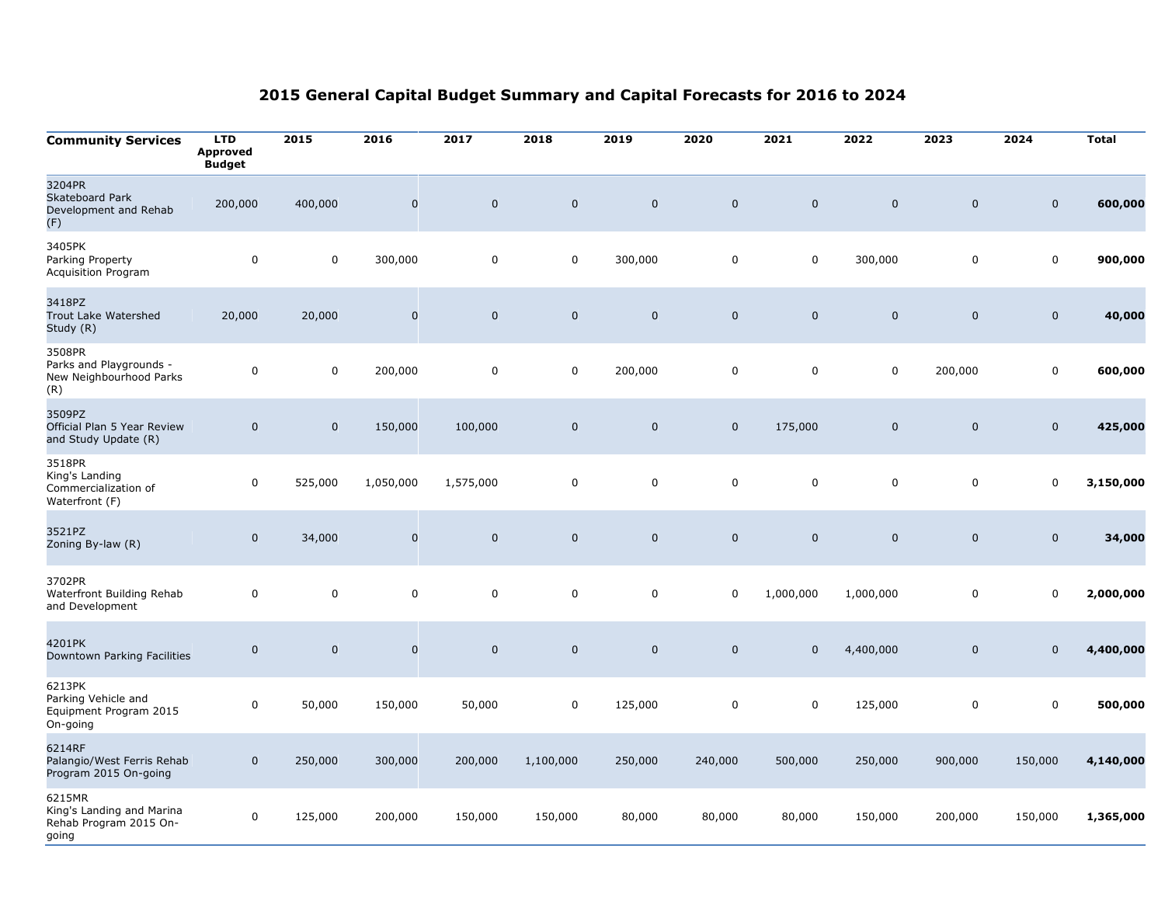| <b>Community Services</b>                                              | <b>LTD</b><br><b>Approved</b><br><b>Budget</b> | 2015             | 2016        | 2017        | 2018        | 2019        | 2020        | 2021        | 2022         | 2023                | 2024                | <b>Total</b> |
|------------------------------------------------------------------------|------------------------------------------------|------------------|-------------|-------------|-------------|-------------|-------------|-------------|--------------|---------------------|---------------------|--------------|
| 3204PR<br>Skateboard Park<br>Development and Rehab<br>(F)              | 200,000                                        | 400,000          | $\mathbf 0$ | $\mathbf 0$ | $\mathbf 0$ | $\mathbf 0$ | $\mathbf 0$ | $\mathbf 0$ | $\mathbf 0$  | $\mathbf 0$         | $\mathbf 0$         | 600,000      |
| 3405PK<br>Parking Property<br>Acquisition Program                      | $\mathbf 0$                                    | $\boldsymbol{0}$ | 300,000     | 0           | $\mathbf 0$ | 300,000     | 0           | $\mathbf 0$ | 300,000      | $\mathbf 0$         | $\mathbf 0$         | 900,000      |
| 3418PZ<br>Trout Lake Watershed<br>Study (R)                            | 20,000                                         | 20,000           | $\pmb{0}$   | $\pmb{0}$   | $\mathbf 0$ | $\pmb{0}$   | $\mathbf 0$ | $\pmb{0}$   | $\mathbf 0$  | $\pmb{0}$           | $\mathbf 0$         | 40,000       |
| 3508PR<br>Parks and Playgrounds -<br>New Neighbourhood Parks<br>(R)    | $\mathbf 0$                                    | 0                | 200,000     | $\mathbf 0$ | 0           | 200,000     | 0           | $\mathsf 0$ | $\mathbf 0$  | 200,000             | 0                   | 600,000      |
| 3509PZ<br>Official Plan 5 Year Review<br>and Study Update (R)          | $\mathbf 0$                                    | $\mathbf 0$      | 150,000     | 100,000     | $\mathbf 0$ | $\pmb{0}$   | $\mathbf 0$ | 175,000     | $\mathbf 0$  | $\mathsf{O}\xspace$ | $\mathbf 0$         | 425,000      |
| 3518PR<br>King's Landing<br>Commercialization of<br>Waterfront (F)     | $\mathsf{O}\xspace$                            | 525,000          | 1,050,000   | 1,575,000   | 0           | $\pmb{0}$   | $\pmb{0}$   | $\mathsf 0$ | $\mathbf 0$  | $\mathbf 0$         | $\pmb{0}$           | 3,150,000    |
| 3521PZ<br>Zoning By-law (R)                                            | $\mathbf 0$                                    | 34,000           | $\mathbf 0$ | $\mathbf 0$ | $\mathbf 0$ | $\mathbf 0$ | $\mathbf 0$ | $\pmb{0}$   | $\mathbf{0}$ | $\mathbf 0$         | $\mathbf 0$         | 34,000       |
| 3702PR<br>Waterfront Building Rehab<br>and Development                 | $\pmb{0}$                                      | 0                | $\mathbf 0$ | $\mathsf 0$ | 0           | $\pmb{0}$   | $\mathbf 0$ | 1,000,000   | 1,000,000    | 0                   | $\mathbf 0$         | 2,000,000    |
| 4201PK<br>Downtown Parking Facilities                                  | $\mathbf 0$                                    | $\mathbf 0$      | $\mathbf 0$ | $\mathbf 0$ | $\mathbf 0$ | $\mathbf 0$ | $\mathbf 0$ | $\mathbf 0$ | 4,400,000    | $\boldsymbol{0}$    | $\mathbf 0$         | 4,400,000    |
| 6213PK<br>Parking Vehicle and<br>Equipment Program 2015<br>On-going    | 0                                              | 50,000           | 150,000     | 50,000      | $\pmb{0}$   | 125,000     | 0           | $\pmb{0}$   | 125,000      | $\mathsf 0$         | $\mathsf{O}\xspace$ | 500,000      |
| 6214RF<br>Palangio/West Ferris Rehab<br>Program 2015 On-going          | $\mathbf 0$                                    | 250,000          | 300,000     | 200,000     | 1,100,000   | 250,000     | 240,000     | 500,000     | 250,000      | 900,000             | 150,000             | 4,140,000    |
| 6215MR<br>King's Landing and Marina<br>Rehab Program 2015 On-<br>going | 0                                              | 125,000          | 200,000     | 150,000     | 150,000     | 80,000      | 80,000      | 80,000      | 150,000      | 200,000             | 150,000             | 1,365,000    |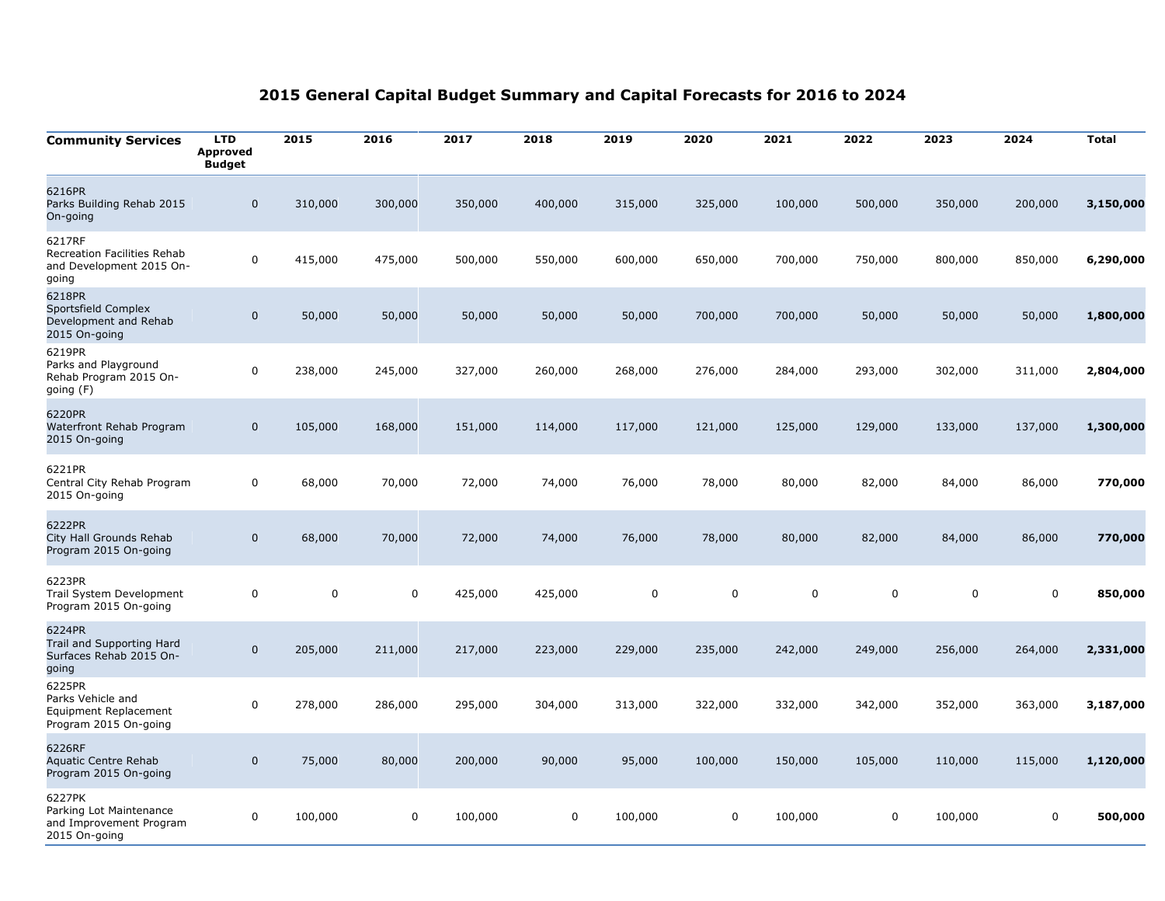| <b>Community Services</b>                                                     | <b>LTD</b><br><b>Approved</b><br><b>Budget</b> | 2015      | 2016      | 2017    | 2018    | 2019      | 2020      | 2021      | 2022      | 2023        | 2024      | <b>Total</b> |
|-------------------------------------------------------------------------------|------------------------------------------------|-----------|-----------|---------|---------|-----------|-----------|-----------|-----------|-------------|-----------|--------------|
| 6216PR<br>Parks Building Rehab 2015<br>On-going                               | $\mathbf 0$                                    | 310,000   | 300,000   | 350,000 | 400,000 | 315,000   | 325,000   | 100,000   | 500,000   | 350,000     | 200,000   | 3,150,000    |
| 6217RF<br>Recreation Facilities Rehab<br>and Development 2015 On-<br>going    | 0                                              | 415,000   | 475,000   | 500,000 | 550,000 | 600,000   | 650,000   | 700,000   | 750,000   | 800,000     | 850,000   | 6,290,000    |
| 6218PR<br>Sportsfield Complex<br>Development and Rehab<br>2015 On-going       | $\mathbf 0$                                    | 50,000    | 50,000    | 50,000  | 50,000  | 50,000    | 700,000   | 700,000   | 50,000    | 50,000      | 50,000    | 1,800,000    |
| 6219PR<br>Parks and Playground<br>Rehab Program 2015 On-<br>going (F)         | $\pmb{0}$                                      | 238,000   | 245,000   | 327,000 | 260,000 | 268,000   | 276,000   | 284,000   | 293,000   | 302,000     | 311,000   | 2,804,000    |
| 6220PR<br>Waterfront Rehab Program<br>2015 On-going                           | $\mathbf 0$                                    | 105,000   | 168,000   | 151,000 | 114,000 | 117,000   | 121,000   | 125,000   | 129,000   | 133,000     | 137,000   | 1,300,000    |
| 6221PR<br>Central City Rehab Program<br>2015 On-going                         | $\mathsf 0$                                    | 68,000    | 70,000    | 72,000  | 74,000  | 76,000    | 78,000    | 80,000    | 82,000    | 84,000      | 86,000    | 770,000      |
| 6222PR<br>City Hall Grounds Rehab<br>Program 2015 On-going                    | $\mathsf{O}\xspace$                            | 68,000    | 70,000    | 72,000  | 74,000  | 76,000    | 78,000    | 80,000    | 82,000    | 84,000      | 86,000    | 770,000      |
| 6223PR<br>Trail System Development<br>Program 2015 On-going                   | $\mathsf 0$                                    | $\pmb{0}$ | $\pmb{0}$ | 425,000 | 425,000 | $\pmb{0}$ | $\pmb{0}$ | $\pmb{0}$ | $\pmb{0}$ | $\mathsf 0$ | $\pmb{0}$ | 850,000      |
| 6224PR<br>Trail and Supporting Hard<br>Surfaces Rehab 2015 On-<br>going       | $\mathbf 0$                                    | 205,000   | 211,000   | 217,000 | 223,000 | 229,000   | 235,000   | 242,000   | 249,000   | 256,000     | 264,000   | 2,331,000    |
| 6225PR<br>Parks Vehicle and<br>Equipment Replacement<br>Program 2015 On-going | 0                                              | 278,000   | 286,000   | 295,000 | 304,000 | 313,000   | 322,000   | 332,000   | 342,000   | 352,000     | 363,000   | 3,187,000    |
| 6226RF<br>Aquatic Centre Rehab<br>Program 2015 On-going                       | $\mathsf{O}\xspace$                            | 75,000    | 80,000    | 200,000 | 90,000  | 95,000    | 100,000   | 150,000   | 105,000   | 110,000     | 115,000   | 1,120,000    |
| 6227PK<br>Parking Lot Maintenance<br>and Improvement Program<br>2015 On-going | $\pmb{0}$                                      | 100,000   | 0         | 100,000 | 0       | 100,000   | 0         | 100,000   | 0         | 100,000     | 0         | 500,000      |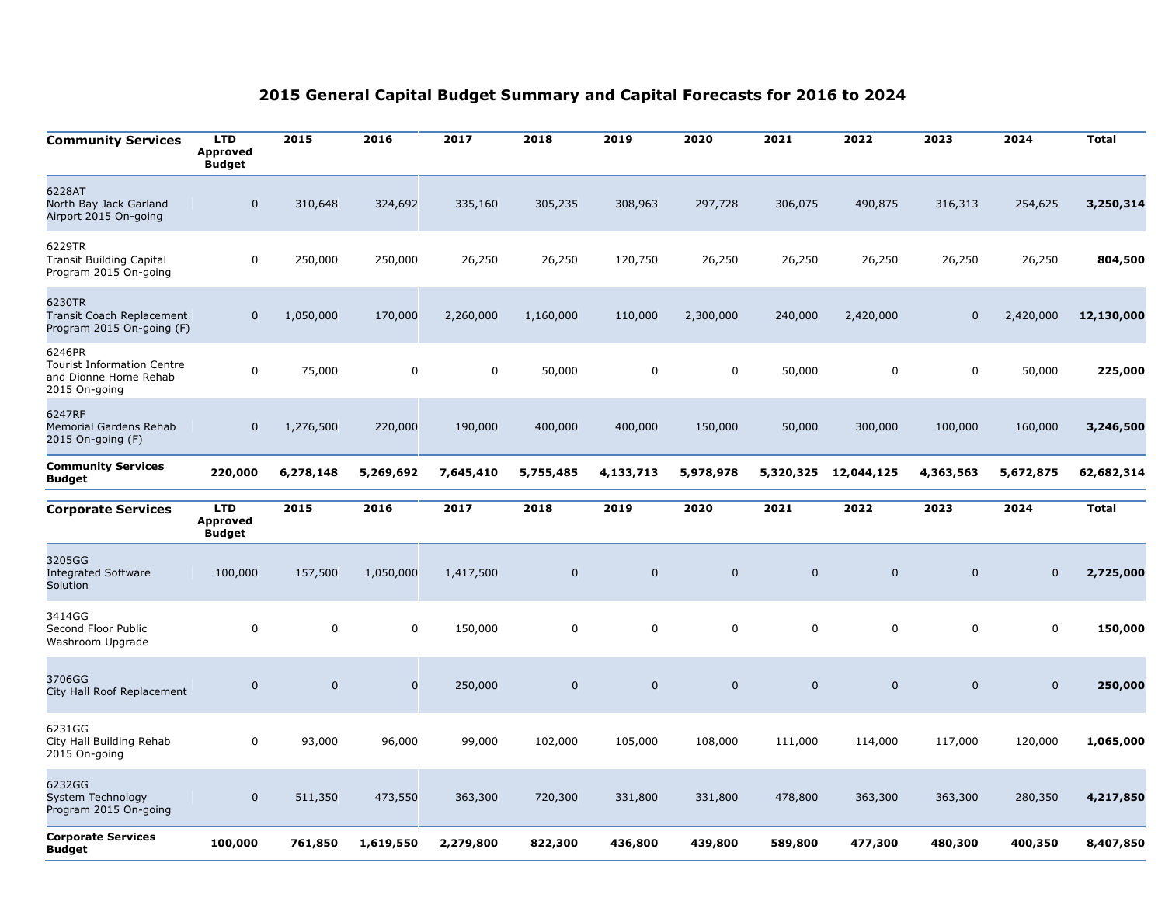| <b>Community Services</b>                                                             | <b>LTD</b><br><b>Approved</b><br><b>Budget</b> | 2015        | 2016                | 2017      | 2018        | 2019         | 2020         | 2021           | 2022         | 2023           | 2024        | <b>Total</b> |
|---------------------------------------------------------------------------------------|------------------------------------------------|-------------|---------------------|-----------|-------------|--------------|--------------|----------------|--------------|----------------|-------------|--------------|
| 6228AT<br>North Bay Jack Garland<br>Airport 2015 On-going                             | $\mathbf 0$                                    | 310,648     | 324,692             | 335,160   | 305,235     | 308,963      | 297,728      | 306,075        | 490,875      | 316,313        | 254,625     | 3,250,314    |
| 6229TR<br><b>Transit Building Capital</b><br>Program 2015 On-going                    | 0                                              | 250,000     | 250,000             | 26,250    | 26,250      | 120,750      | 26,250       | 26,250         | 26,250       | 26,250         | 26,250      | 804,500      |
| 6230TR<br>Transit Coach Replacement<br>Program 2015 On-going (F)                      | $\mathbf 0$                                    | 1,050,000   | 170,000             | 2,260,000 | 1,160,000   | 110,000      | 2,300,000    | 240,000        | 2,420,000    | $\Omega$       | 2,420,000   | 12,130,000   |
| 6246PR<br><b>Tourist Information Centre</b><br>and Dionne Home Rehab<br>2015 On-going | $\mathbf 0$                                    | 75,000      | $\mathbf 0$         | 0         | 50,000      | $\pmb{0}$    | $\pmb{0}$    | 50,000         | $\mathbf 0$  | 0              | 50,000      | 225,000      |
| 6247RF<br><b>Memorial Gardens Rehab</b><br>2015 On-going (F)                          | $\mathbf 0$                                    | 1,276,500   | 220,000             | 190,000   | 400,000     | 400,000      | 150,000      | 50,000         | 300,000      | 100,000        | 160,000     | 3,246,500    |
| <b>Community Services</b><br><b>Budget</b>                                            | 220,000                                        | 6,278,148   | 5,269,692           | 7,645,410 | 5,755,485   | 4,133,713    | 5,978,978    | 5,320,325      | 12,044,125   | 4,363,563      | 5,672,875   | 62,682,314   |
| <b>Corporate Services</b>                                                             | <b>LTD</b><br><b>Approved</b><br><b>Budget</b> | 2015        | 2016                | 2017      | 2018        | 2019         | 2020         | 2021           | 2022         | 2023           | 2024        | <b>Total</b> |
| 3205GG<br><b>Integrated Software</b><br>Solution                                      | 100,000                                        | 157,500     | 1,050,000           | 1,417,500 | $\mathbf 0$ | $\mathbf{0}$ | $\mathbf{0}$ | $\overline{0}$ | $\mathbf{0}$ | $\overline{0}$ | $\mathbf 0$ | 2,725,000    |
| 3414GG<br>Second Floor Public<br>Washroom Upgrade                                     | 0                                              | $\mathbf 0$ | $\mathbf 0$         | 150,000   | $\mathbf 0$ | $\mathsf 0$  | $\pmb{0}$    | $\mathbf 0$    | $\mathbf 0$  | 0              | 0           | 150,000      |
| 3706GG<br>City Hall Roof Replacement                                                  | $\mathbf 0$                                    | $\pmb{0}$   | $\mathsf{O}\xspace$ | 250,000   | $\mathbf 0$ | $\pmb{0}$    | $\mathbf 0$  | $\mathbf 0$    | $\mathbf 0$  | $\mathbf 0$    | $\mathbf 0$ | 250,000      |
| 6231GG<br>City Hall Building Rehab<br>2015 On-going                                   | $\mathbf 0$                                    | 93,000      | 96,000              | 99,000    | 102,000     | 105,000      | 108,000      | 111,000        | 114,000      | 117,000        | 120,000     | 1,065,000    |
| 6232GG<br>System Technology<br>Program 2015 On-going                                  | $\mathbf 0$                                    | 511,350     | 473,550             | 363,300   | 720,300     | 331,800      | 331,800      | 478,800        | 363,300      | 363,300        | 280,350     | 4,217,850    |
|                                                                                       |                                                |             |                     |           |             |              |              |                |              |                |             |              |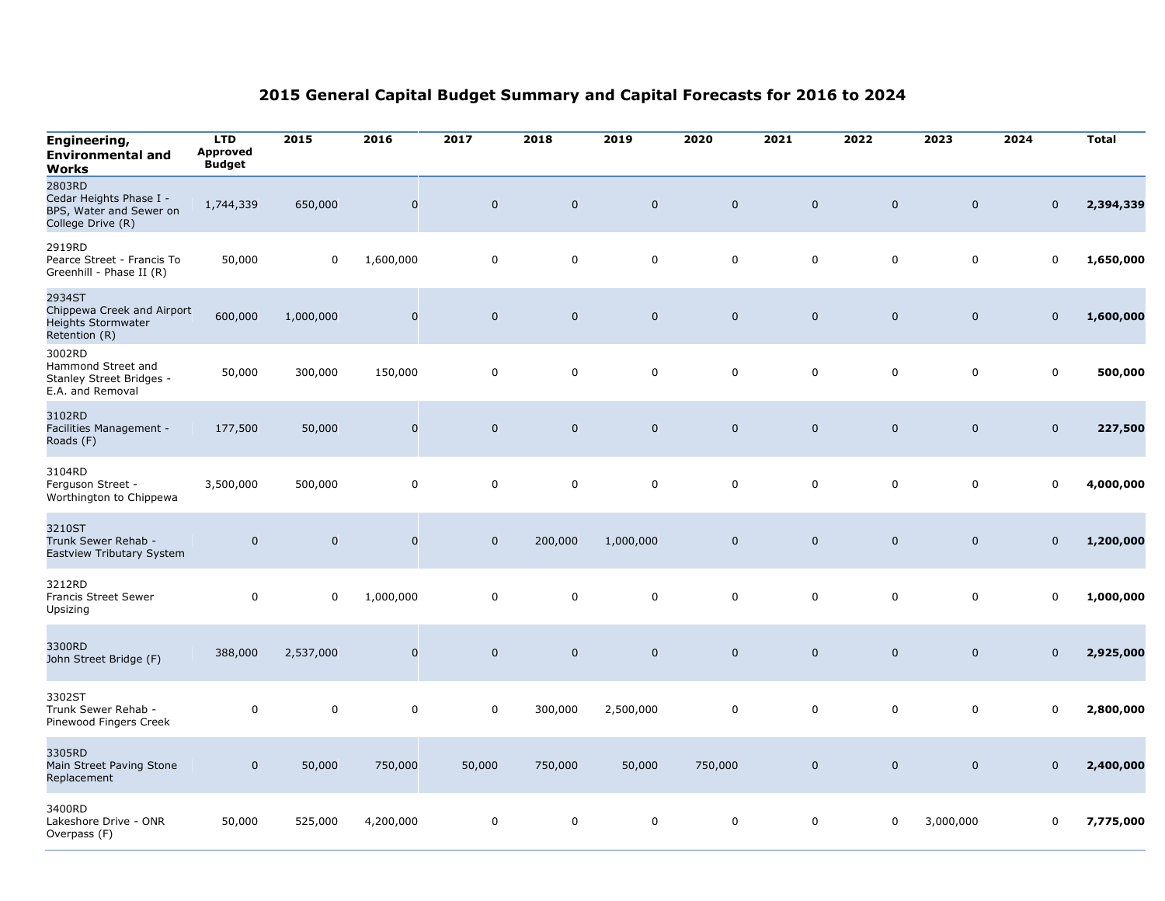| Engineering,<br><b>Environmental and</b><br>Works                                 | <b>LTD</b><br><b>Approved</b><br><b>Budget</b> | 2015           | 2016                | 2017        | 2018        | 2019                | 2020        | 2021        | 2022           | 2023                | 2024           | <b>Total</b> |
|-----------------------------------------------------------------------------------|------------------------------------------------|----------------|---------------------|-------------|-------------|---------------------|-------------|-------------|----------------|---------------------|----------------|--------------|
| 2803RD<br>Cedar Heights Phase I -<br>BPS, Water and Sewer on<br>College Drive (R) | 1,744,339                                      | 650,000        | $\mathsf{O}\xspace$ | $\mathbf 0$ | $\mathbf 0$ | $\mathsf{O}\xspace$ | $\mathbf 0$ | $\pmb{0}$   | $\mathbf 0$    | $\mathsf{O}\xspace$ | $\mathbf 0$    | 2,394,339    |
| 2919RD<br>Pearce Street - Francis To<br>Greenhill - Phase II (R)                  | 50,000                                         | $\pmb{0}$      | 1,600,000           | $\mathbf 0$ | $\mathbf 0$ | $\pmb{0}$           | 0           | $\pmb{0}$   | $\mathbf 0$    | $\mathsf 0$         | $\mathbf 0$    | 1,650,000    |
| 2934ST<br>Chippewa Creek and Airport<br>Heights Stormwater<br>Retention (R)       | 600,000                                        | 1,000,000      | $\mathbf 0$         | $\mathbf 0$ | $\mathbf 0$ | $\mathbf 0$         | $\mathbf 0$ | $\mathbf 0$ | $\mathbf 0$    | $\mathbf 0$         | $\mathbf 0$    | 1,600,000    |
| 3002RD<br>Hammond Street and<br>Stanley Street Bridges -<br>E.A. and Removal      | 50,000                                         | 300,000        | 150,000             | $\pmb{0}$   | $\mathbf 0$ | $\pmb{0}$           | $\mathbf 0$ | $\mathbf 0$ | $\mathbf 0$    | $\mathbf 0$         | $\mathsf 0$    | 500,000      |
| 3102RD<br>Facilities Management -<br>Roads (F)                                    | 177,500                                        | 50,000         | $\mathbf 0$         | $\mathbf 0$ | $\mathbf 0$ | $\mathbf 0$         | $\mathbf 0$ | $\mathbf 0$ | $\overline{0}$ | $\mathbf 0$         | $\mathbf 0$    | 227,500      |
| 3104RD<br>Ferguson Street -<br>Worthington to Chippewa                            | 3,500,000                                      | 500,000        | $\mathbf 0$         | $\mathbf 0$ | 0           | $\mathbf 0$         | $\mathbf 0$ | $\mathbf 0$ | $\mathbf 0$    | $\mathbf 0$         | $\mathbf 0$    | 4,000,000    |
| 3210ST<br>Trunk Sewer Rehab -<br>Eastview Tributary System                        | $\mathsf 0$                                    | $\overline{0}$ | $\mathsf{O}\xspace$ | $\mathbf 0$ | 200,000     | 1,000,000           | $\mathsf 0$ | $\mathbf 0$ | $\overline{0}$ | $\mathsf{O}\xspace$ | $\mathbf 0$    | 1,200,000    |
| 3212RD<br>Francis Street Sewer<br>Upsizing                                        | $\mathsf 0$                                    | 0              | 1,000,000           | $\mathbf 0$ | 0           | $\mathbf 0$         | $\mathbf 0$ | $\mathbf 0$ | $\mathbf 0$    | $\mathbf 0$         | $\mathbf 0$    | 1,000,000    |
| 3300RD<br>John Street Bridge (F)                                                  | 388,000                                        | 2,537,000      | $\mathbf 0$         | $\mathbf 0$ | $\mathbf 0$ | $\mathbf 0$         | $\mathbf 0$ | $\mathbf 0$ | $\mathbf 0$    | $\mathbf 0$         | $\overline{0}$ | 2,925,000    |
| 3302ST<br>Trunk Sewer Rehab -<br>Pinewood Fingers Creek                           | $\pmb{0}$                                      | $\pmb{0}$      | $\mathbf 0$         | $\mathsf 0$ | 300,000     | 2,500,000           | $\mathbf 0$ | $\mathsf 0$ | $\mathbf 0$    | $\mathbf 0$         | $\mathsf 0$    | 2,800,000    |
| 3305RD<br>Main Street Paving Stone<br>Replacement                                 | $\mathbf 0$                                    | 50,000         | 750,000             | 50,000      | 750,000     | 50,000              | 750,000     | $\mathbf 0$ | $\mathbf 0$    | $\mathsf{O}\xspace$ | $\mathbf 0$    | 2,400,000    |
| 3400RD<br>Lakeshore Drive - ONR<br>Overpass (F)                                   | 50,000                                         | 525,000        | 4,200,000           | $\mathbf 0$ | 0           | 0                   | $\mathbf 0$ | $\mathbf 0$ | $\mathbf 0$    | 3,000,000           | $\mathbf 0$    | 7,775,000    |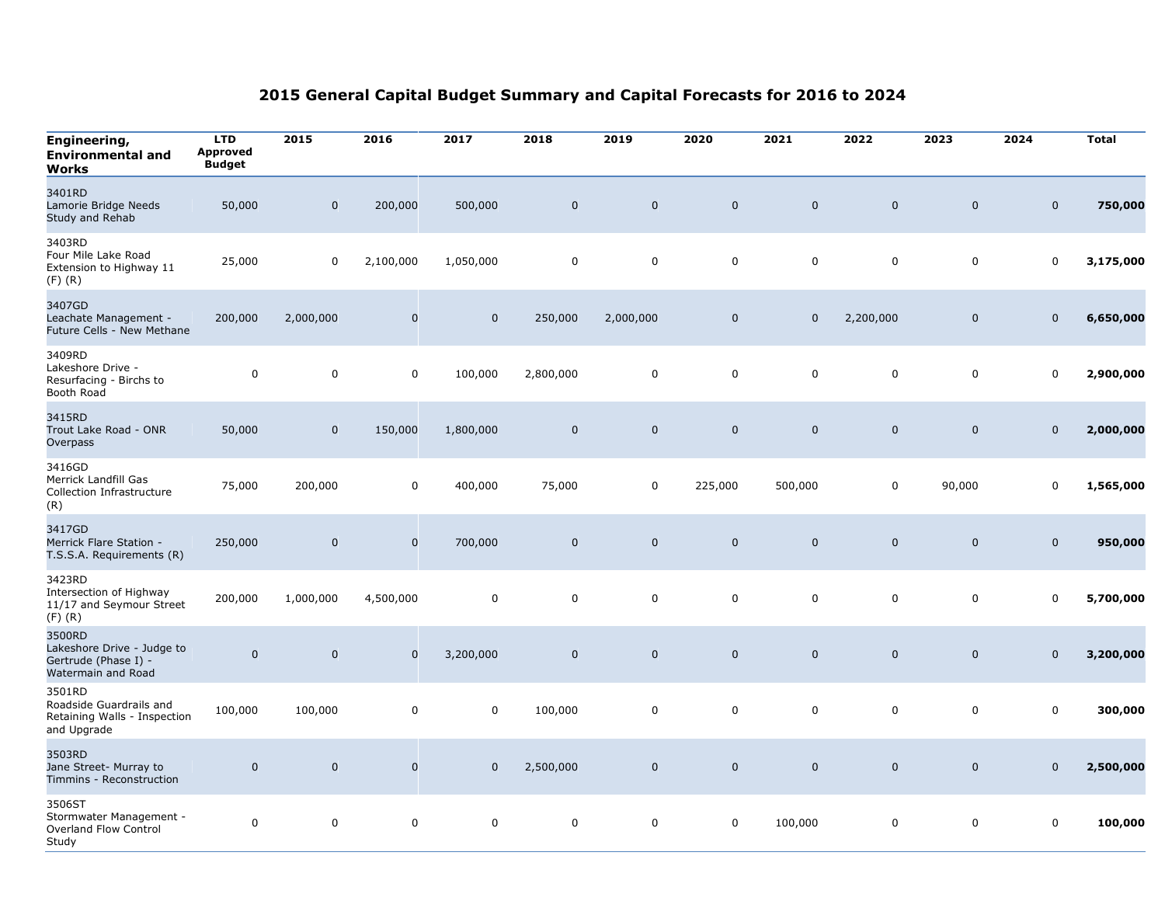| Engineering,<br><b>Environmental and</b><br>Works                                  | <b>LTD</b><br>Approved<br><b>Budget</b> | 2015        | 2016        | 2017        | 2018         | 2019        | 2020         | 2021        | 2022           | 2023                | 2024           | <b>Total</b> |
|------------------------------------------------------------------------------------|-----------------------------------------|-------------|-------------|-------------|--------------|-------------|--------------|-------------|----------------|---------------------|----------------|--------------|
| 3401RD<br>Lamorie Bridge Needs<br>Study and Rehab                                  | 50,000                                  | $\mathbf 0$ | 200,000     | 500,000     | $\mathbf{0}$ | $\mathbf 0$ | $\mathbf 0$  | $\mathbf 0$ | $\overline{0}$ | $\pmb{0}$           | $\mathbf 0$    | 750,000      |
| 3403RD<br>Four Mile Lake Road<br>Extension to Highway 11<br>$(F)$ $(R)$            | 25,000                                  | 0           | 2,100,000   | 1,050,000   | 0            | 0           | 0            | $\mathbf 0$ | $\mathbf 0$    | $\mathbf 0$         | $\mathbf 0$    | 3,175,000    |
| 3407GD<br>Leachate Management -<br>Future Cells - New Methane                      | 200,000                                 | 2,000,000   | $\mathbf 0$ | $\mathbf 0$ | 250,000      | 2,000,000   | $\mathsf 0$  | $\mathbf 0$ | 2,200,000      | $\mathsf{O}\xspace$ | $\mathbf 0$    | 6,650,000    |
| 3409RD<br>Lakeshore Drive -<br>Resurfacing - Birchs to<br>Booth Road               | $\mathsf 0$                             | $\mathbf 0$ | $\mathbf 0$ | 100,000     | 2,800,000    | $\mathbf 0$ | $\mathbf 0$  | $\mathbf 0$ | $\mathbf 0$    | $\mathbf 0$         | $\mathbf 0$    | 2,900,000    |
| 3415RD<br>Trout Lake Road - ONR<br>Overpass                                        | 50,000                                  | $\pmb{0}$   | 150,000     | 1,800,000   | $\mathbf 0$  | $\pmb{0}$   | $\mathbf{0}$ | $\mathbf 0$ | $\mathbf 0$    | $\mathbf 0$         | $\overline{0}$ | 2,000,000    |
| 3416GD<br>Merrick Landfill Gas<br>Collection Infrastructure<br>(R)                 | 75,000                                  | 200,000     | $\mathbf 0$ | 400,000     | 75,000       | 0           | 225,000      | 500,000     | $\mathbf 0$    | 90,000              | $\mathbf 0$    | 1,565,000    |
| 3417GD<br>Merrick Flare Station -<br>T.S.S.A. Requirements (R)                     | 250,000                                 | $\mathbf 0$ | $\mathbf 0$ | 700,000     | $\mathbf{0}$ | $\mathbf 0$ | $\mathbf 0$  | $\mathbf 0$ | $\overline{0}$ | $\mathbf 0$         | $\mathbf 0$    | 950,000      |
| 3423RD<br>Intersection of Highway<br>11/17 and Seymour Street<br>$(F)$ $(R)$       | 200,000                                 | 1,000,000   | 4,500,000   | $\mathbf 0$ | $\mathbf 0$  | $\mathbf 0$ | $\mathbf 0$  | $\mathbf 0$ | $\mathbf 0$    | $\mathbf 0$         | $\mathbf 0$    | 5,700,000    |
| 3500RD<br>Lakeshore Drive - Judge to<br>Gertrude (Phase I) -<br>Watermain and Road | $\pmb{0}$                               | $\mathbf 0$ | $\mathbf 0$ | 3,200,000   | $\mathbf 0$  | $\mathbf 0$ | $\mathbf 0$  | $\mathbf 0$ | $\mathbf 0$    | $\mathbf 0$         | $\mathbf 0$    | 3,200,000    |
| 3501RD<br>Roadside Guardrails and<br>Retaining Walls - Inspection<br>and Upgrade   | 100,000                                 | 100,000     | $\mathbf 0$ | $\mathbf 0$ | 100,000      | 0           | 0            | $\mathbf 0$ | $\mathbf 0$    | $\mathbf 0$         | $\mathbf 0$    | 300,000      |
| 3503RD<br>Jane Street- Murray to<br>Timmins - Reconstruction                       | $\pmb{0}$                               | $\mathbf 0$ | $\mathbf 0$ | $\mathbf 0$ | 2,500,000    | $\mathbf 0$ | $\mathbf 0$  | $\mathbf 0$ | $\mathbf 0$    | $\mathsf{O}\xspace$ | $\mathbf 0$    | 2,500,000    |
| 3506ST<br>Stormwater Management -<br>Overland Flow Control<br>Study                | 0                                       | 0           | $\mathbf 0$ | $\mathbf 0$ | 0            | 0           | 0            | 100,000     | 0              | 0                   | 0              | 100,000      |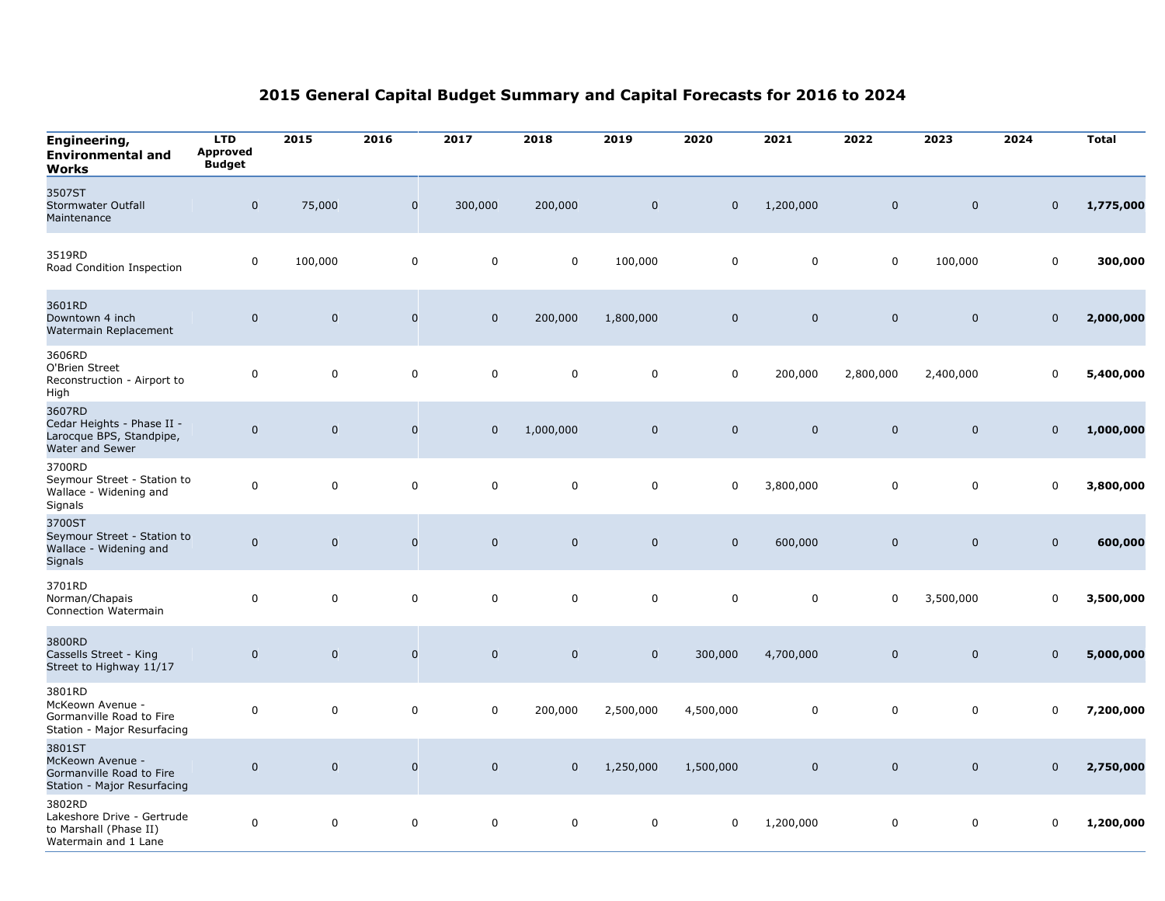| Engineering,<br><b>Environmental and</b><br>Works                                      | <b>LTD</b><br><b>Approved</b><br><b>Budget</b> | 2015        | 2016                | 2017         | 2018        | 2019                | 2020        | 2021        | 2022        | 2023                | 2024        | <b>Total</b> |
|----------------------------------------------------------------------------------------|------------------------------------------------|-------------|---------------------|--------------|-------------|---------------------|-------------|-------------|-------------|---------------------|-------------|--------------|
| 3507ST<br><b>Stormwater Outfall</b><br>Maintenance                                     | $\mathbf 0$                                    | 75,000      | $\mathbf 0$         | 300,000      | 200,000     | $\mathbf 0$         | $\mathbf 0$ | 1,200,000   | $\mathbf 0$ | $\mathbf 0$         | $\mathbf 0$ | 1,775,000    |
| 3519RD<br>Road Condition Inspection                                                    | $\mathbf 0$                                    | 100,000     | $\mathbf 0$         | $\mathbf 0$  | 0           | 100,000             | $\mathbf 0$ | $\mathbf 0$ | $\mathbf 0$ | 100,000             | $\mathbf 0$ | 300,000      |
| 3601RD<br>Downtown 4 inch<br>Watermain Replacement                                     | $\mathbf 0$                                    | $\mathbf 0$ | $\mathbf 0$         | $\mathbf 0$  | 200,000     | 1,800,000           | $\mathbf 0$ | $\mathbf 0$ | $\mathbf 0$ | $\mathbf 0$         | $\mathbf 0$ | 2,000,000    |
| 3606RD<br>O'Brien Street<br>Reconstruction - Airport to<br>High                        | $\pmb{0}$                                      | $\mathbf 0$ | $\mathbf 0$         | $\mathbf 0$  | 0           | 0                   | $\mathbf 0$ | 200,000     | 2,800,000   | 2,400,000           | $\mathbf 0$ | 5,400,000    |
| 3607RD<br>Cedar Heights - Phase II -<br>Larocque BPS, Standpipe,<br>Water and Sewer    | $\mathbf 0$                                    | $\mathbf 0$ | $\mathbf 0$         | $\mathbf{0}$ | 1,000,000   | $\mathbf 0$         | $\mathbf 0$ | $\mathbf 0$ | $\mathbf 0$ | $\mathbf 0$         | $\mathbf 0$ | 1,000,000    |
| 3700RD<br>Seymour Street - Station to<br>Wallace - Widening and<br>Signals             | $\mathbf 0$                                    | $\pmb{0}$   | $\mathbf 0$         | $\mathsf 0$  | 0           | $\mathbf 0$         | $\mathbf 0$ | 3,800,000   | $\mathbf 0$ | $\mathbf 0$         | $\mathbf 0$ | 3,800,000    |
| 3700ST<br>Seymour Street - Station to<br>Wallace - Widening and<br><b>Signals</b>      | $\mathsf{O}\xspace$                            | $\mathbf 0$ | $\mathbf 0$         | $\mathbf 0$  | $\mathbf 0$ | $\mathsf{O}\xspace$ | $\mathbf 0$ | 600,000     | $\mathbf 0$ | $\mathsf{O}\xspace$ | $\mathbf 0$ | 600,000      |
| 3701RD<br>Norman/Chapais<br>Connection Watermain                                       | $\mathbf 0$                                    | $\mathbf 0$ | $\mathbf 0$         | $\mathbf 0$  | $\mathbf 0$ | $\mathbf 0$         | $\mathbf 0$ | $\mathbf 0$ | $\mathbf 0$ | 3,500,000           | $\mathbf 0$ | 3,500,000    |
| 3800RD<br>Cassells Street - King<br>Street to Highway 11/17                            | $\mathsf{O}\xspace$                            | $\mathbf 0$ | $\mathbf 0$         | $\mathbf 0$  | $\mathbf 0$ | $\mathsf{O}\xspace$ | 300,000     | 4,700,000   | $\mathbf 0$ | $\mathsf{O}\xspace$ | $\mathbf 0$ | 5,000,000    |
| 3801RD<br>McKeown Avenue -<br>Gormanville Road to Fire<br>Station - Major Resurfacing  | $\mathbf 0$                                    | $\mathbf 0$ | $\mathbf 0$         | $\mathbf 0$  | 200,000     | 2,500,000           | 4,500,000   | $\pmb{0}$   | $\mathbf 0$ | $\mathbf 0$         | $\mathbf 0$ | 7,200,000    |
| 3801ST<br>McKeown Avenue -<br>Gormanville Road to Fire<br>Station - Major Resurfacing  | $\pmb{0}$                                      | $\mathbf 0$ | $\mathbf 0$         | $\mathbf 0$  | $\mathbf 0$ | 1,250,000           | 1,500,000   | $\mathbf 0$ | $\mathbf 0$ | $\mathbf 0$         | $\mathbf 0$ | 2,750,000    |
| 3802RD<br>Lakeshore Drive - Gertrude<br>to Marshall (Phase II)<br>Watermain and 1 Lane | $\mathbf 0$                                    | $\pmb{0}$   | $\mathsf{O}\xspace$ | $\mathbf 0$  | 0           | $\pmb{0}$           | $\mathbf 0$ | 1,200,000   | $\pmb{0}$   | $\mathsf 0$         | $\mathbf 0$ | 1,200,000    |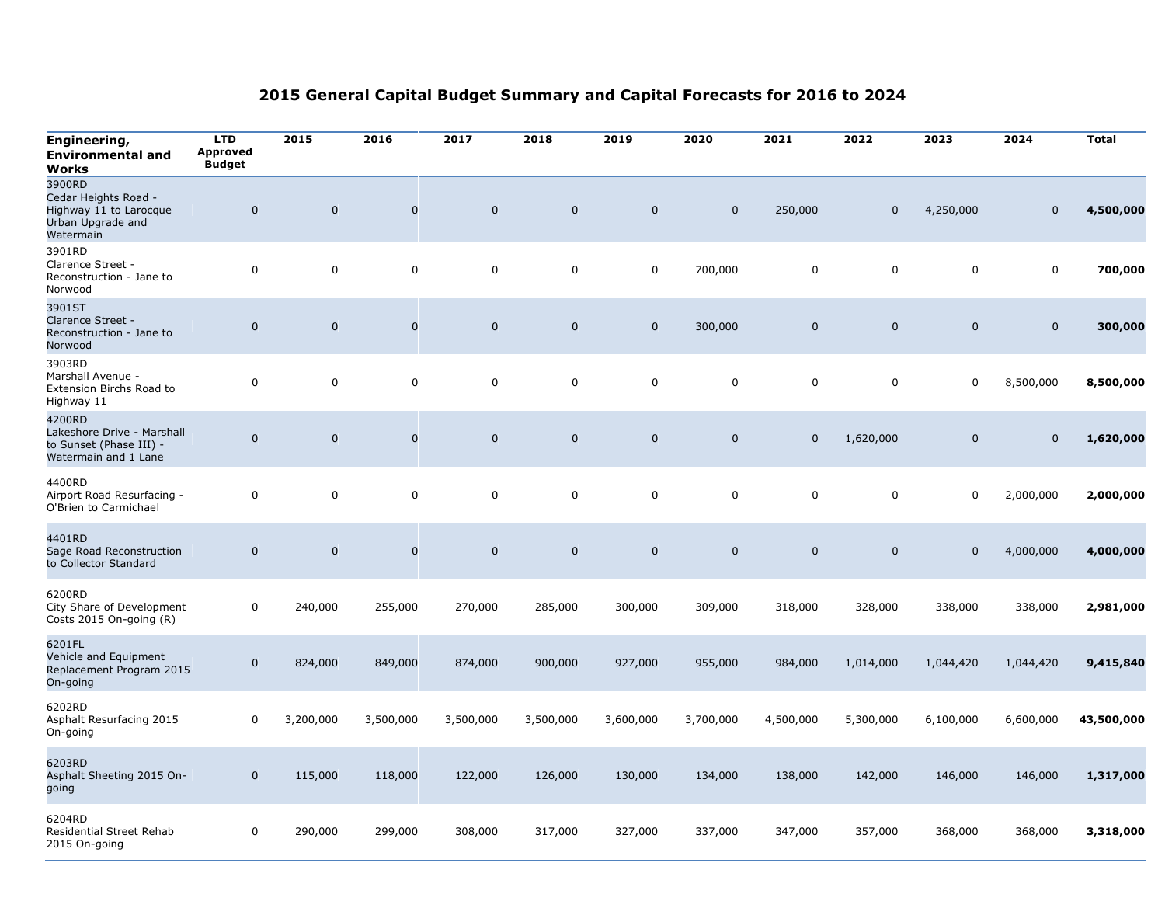| Engineering,<br><b>Environmental and</b><br>Works                                          | <b>LTD</b><br><b>Approved</b><br><b>Budget</b> | 2015        | 2016                | 2017        | 2018        | 2019        | 2020        | 2021        | 2022           | 2023                | 2024        | <b>Total</b> |
|--------------------------------------------------------------------------------------------|------------------------------------------------|-------------|---------------------|-------------|-------------|-------------|-------------|-------------|----------------|---------------------|-------------|--------------|
| 3900RD<br>Cedar Heights Road -<br>Highway 11 to Larocque<br>Urban Upgrade and<br>Watermain | $\pmb{0}$                                      | $\Omega$    | $\mathsf{O}\xspace$ | $\mathbf 0$ | $\mathbf 0$ | $\mathbf 0$ | $\mathbf 0$ | 250,000     | $\Omega$       | 4,250,000           | $\mathbf 0$ | 4,500,000    |
| 3901RD<br>Clarence Street -<br>Reconstruction - Jane to<br>Norwood                         | $\mathbf 0$                                    | $\mathbf 0$ | $\mathbf 0$         | 0           | 0           | 0           | 700,000     | $\pmb{0}$   | $\mathbf 0$    | 0                   | $\mathbf 0$ | 700,000      |
| 3901ST<br>Clarence Street -<br>Reconstruction - Jane to<br>Norwood                         | $\pmb{0}$                                      | $\mathbf 0$ | $\mathsf{O}\xspace$ | $\mathbf 0$ | $\mathbf 0$ | $\mathbf 0$ | 300,000     | $\mathbf 0$ | $\mathbf 0$    | $\mathsf{O}\xspace$ | $\mathbf 0$ | 300,000      |
| 3903RD<br>Marshall Avenue -<br>Extension Birchs Road to<br>Highway 11                      | $\mathsf 0$                                    | 0           | $\pmb{0}$           | $\mathsf 0$ | 0           | $\mathbf 0$ | $\mathbf 0$ | $\mathbf 0$ | $\mathbf 0$    | $\mathbf 0$         | 8,500,000   | 8,500,000    |
| 4200RD<br>Lakeshore Drive - Marshall<br>to Sunset (Phase III) -<br>Watermain and 1 Lane    | $\pmb{0}$                                      | $\mathbf 0$ | $\mathbf 0$         | $\mathbf 0$ | $\mathbf 0$ | $\mathbf 0$ | $\mathbf 0$ | $\mathbf 0$ | 1,620,000      | $\pmb{0}$           | $\mathbf 0$ | 1,620,000    |
| 4400RD<br>Airport Road Resurfacing -<br>O'Brien to Carmichael                              | $\mathbf 0$                                    | $\mathbf 0$ | $\mathbf 0$         | $\mathbf 0$ | $\mathbf 0$ | $\mathbf 0$ | 0           | $\mathbf 0$ | $\mathbf 0$    | $\Omega$            | 2,000,000   | 2,000,000    |
| 4401RD<br>Sage Road Reconstruction<br>to Collector Standard                                | $\pmb{0}$                                      | $\mathbf 0$ | $\mathbf 0$         | $\mathbf 0$ | $\mathbf 0$ | $\mathbf 0$ | $\mathbf 0$ | $\mathbf 0$ | $\overline{0}$ | $\overline{0}$      | 4,000,000   | 4,000,000    |
| 6200RD<br>City Share of Development<br>Costs 2015 On-going (R)                             | $\mathsf{O}\xspace$                            | 240,000     | 255,000             | 270,000     | 285,000     | 300,000     | 309,000     | 318,000     | 328,000        | 338,000             | 338,000     | 2,981,000    |
| 6201FL<br>Vehicle and Equipment<br>Replacement Program 2015<br>On-going                    | $\mathbf 0$                                    | 824,000     | 849,000             | 874,000     | 900,000     | 927,000     | 955,000     | 984,000     | 1,014,000      | 1,044,420           | 1,044,420   | 9,415,840    |
| 6202RD<br>Asphalt Resurfacing 2015<br>On-going                                             | $\mathbf 0$                                    | 3,200,000   | 3,500,000           | 3,500,000   | 3,500,000   | 3,600,000   | 3,700,000   | 4,500,000   | 5,300,000      | 6,100,000           | 6,600,000   | 43,500,000   |
| 6203RD<br>Asphalt Sheeting 2015 On-<br>going                                               | $\mathbf 0$                                    | 115,000     | 118,000             | 122,000     | 126,000     | 130,000     | 134,000     | 138,000     | 142,000        | 146,000             | 146,000     | 1,317,000    |
| 6204RD<br>Residential Street Rehab<br>2015 On-going                                        | 0                                              | 290,000     | 299,000             | 308,000     | 317,000     | 327,000     | 337,000     | 347,000     | 357,000        | 368,000             | 368,000     | 3,318,000    |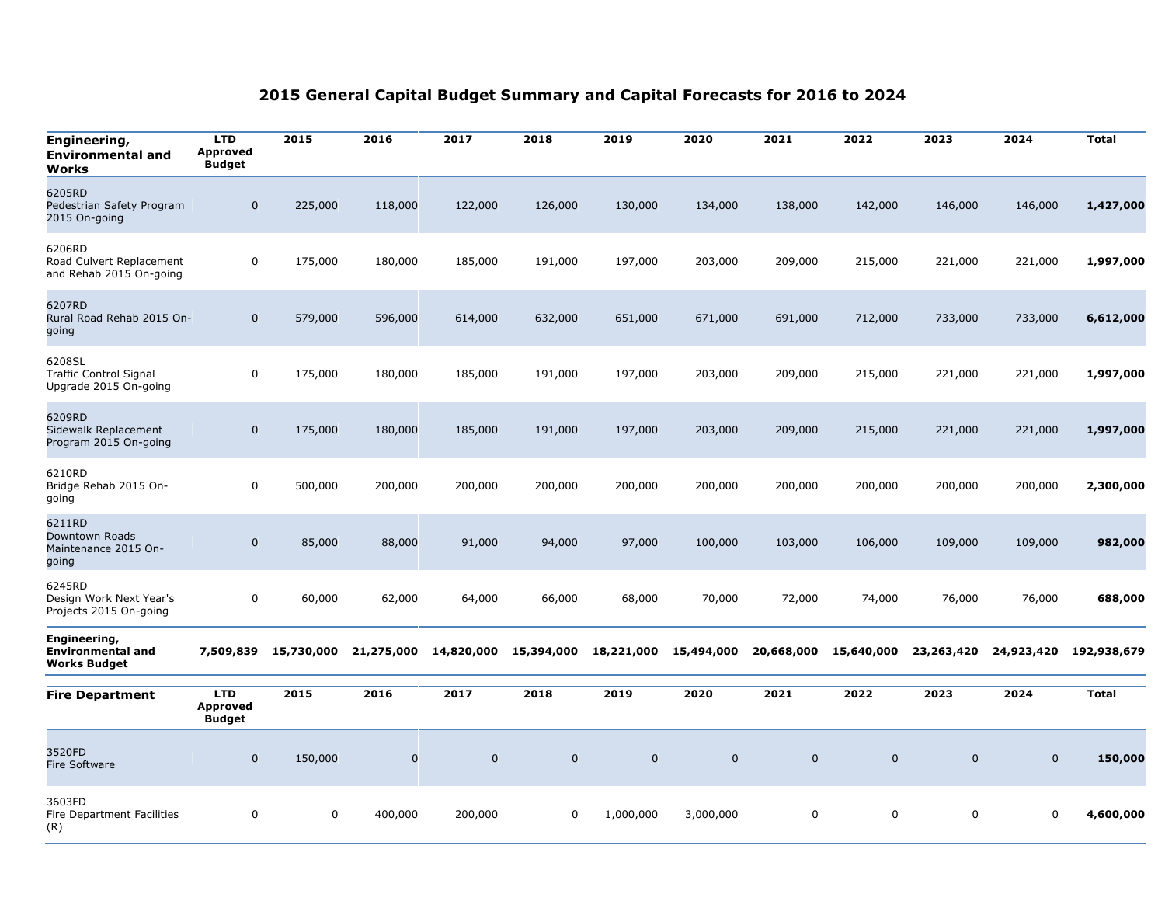| Engineering,<br><b>Environmental and</b><br>Works                | <b>LTD</b><br><b>Approved</b><br><b>Budget</b> | 2015       | 2016       | 2017        | 2018        | 2019        | 2020        | 2021        | 2022        | 2023        | 2024       | <b>Total</b> |
|------------------------------------------------------------------|------------------------------------------------|------------|------------|-------------|-------------|-------------|-------------|-------------|-------------|-------------|------------|--------------|
| 6205RD<br>Pedestrian Safety Program<br>2015 On-going             | $\mathbf 0$                                    | 225,000    | 118,000    | 122,000     | 126,000     | 130,000     | 134,000     | 138,000     | 142,000     | 146,000     | 146,000    | 1,427,000    |
| 6206RD<br>Road Culvert Replacement<br>and Rehab 2015 On-going    | 0                                              | 175,000    | 180,000    | 185,000     | 191,000     | 197,000     | 203,000     | 209,000     | 215,000     | 221,000     | 221,000    | 1,997,000    |
| 6207RD<br>Rural Road Rehab 2015 On-<br>going                     | $\mathbf 0$                                    | 579,000    | 596,000    | 614,000     | 632,000     | 651,000     | 671,000     | 691,000     | 712,000     | 733,000     | 733,000    | 6,612,000    |
| 6208SL<br><b>Traffic Control Signal</b><br>Upgrade 2015 On-going | 0                                              | 175,000    | 180,000    | 185,000     | 191,000     | 197,000     | 203,000     | 209,000     | 215,000     | 221,000     | 221,000    | 1,997,000    |
| 6209RD<br>Sidewalk Replacement<br>Program 2015 On-going          | $\mathbf 0$                                    | 175,000    | 180,000    | 185,000     | 191,000     | 197,000     | 203,000     | 209,000     | 215,000     | 221,000     | 221,000    | 1,997,000    |
| 6210RD<br>Bridge Rehab 2015 On-<br>going                         | $\mathbf 0$                                    | 500,000    | 200,000    | 200,000     | 200,000     | 200,000     | 200,000     | 200,000     | 200,000     | 200,000     | 200,000    | 2,300,000    |
| 6211RD<br>Downtown Roads<br>Maintenance 2015 On-<br>going        | $\mathbf 0$                                    | 85,000     | 88,000     | 91,000      | 94,000      | 97,000      | 100,000     | 103,000     | 106,000     | 109,000     | 109,000    | 982,000      |
| 6245RD<br>Design Work Next Year's<br>Projects 2015 On-going      | $\pmb{0}$                                      | 60,000     | 62,000     | 64,000      | 66,000      | 68,000      | 70,000      | 72,000      | 74,000      | 76,000      | 76,000     | 688,000      |
| Engineering,<br><b>Environmental and</b><br>Works Budget         | 7,509,839                                      | 15,730,000 | 21,275,000 | 14,820,000  | 15,394,000  | 18,221,000  | 15,494,000  | 20,668,000  | 15,640,000  | 23,263,420  | 24,923,420 | 192,938,679  |
| <b>Fire Department</b>                                           | <b>LTD</b><br><b>Approved</b><br><b>Budget</b> | 2015       | 2016       | 2017        | 2018        | 2019        | 2020        | 2021        | 2022        | 2023        | 2024       | <b>Total</b> |
| 3520FD<br>Fire Software                                          | $\mathbf 0$                                    | 150,000    | $\pmb{0}$  | $\mathbf 0$ | $\mathbf 0$ | $\mathbf 0$ | $\mathbf 0$ | $\mathbf 0$ | $\mathbf 0$ | $\mathbf 0$ | $\pmb{0}$  | 150,000      |
| 3603FD<br><b>Fire Department Facilities</b><br>(R)               | 0                                              | 0          | 400,000    | 200,000     | 0           | 1,000,000   | 3,000,000   | 0           | 0           | 0           | 0          | 4,600,000    |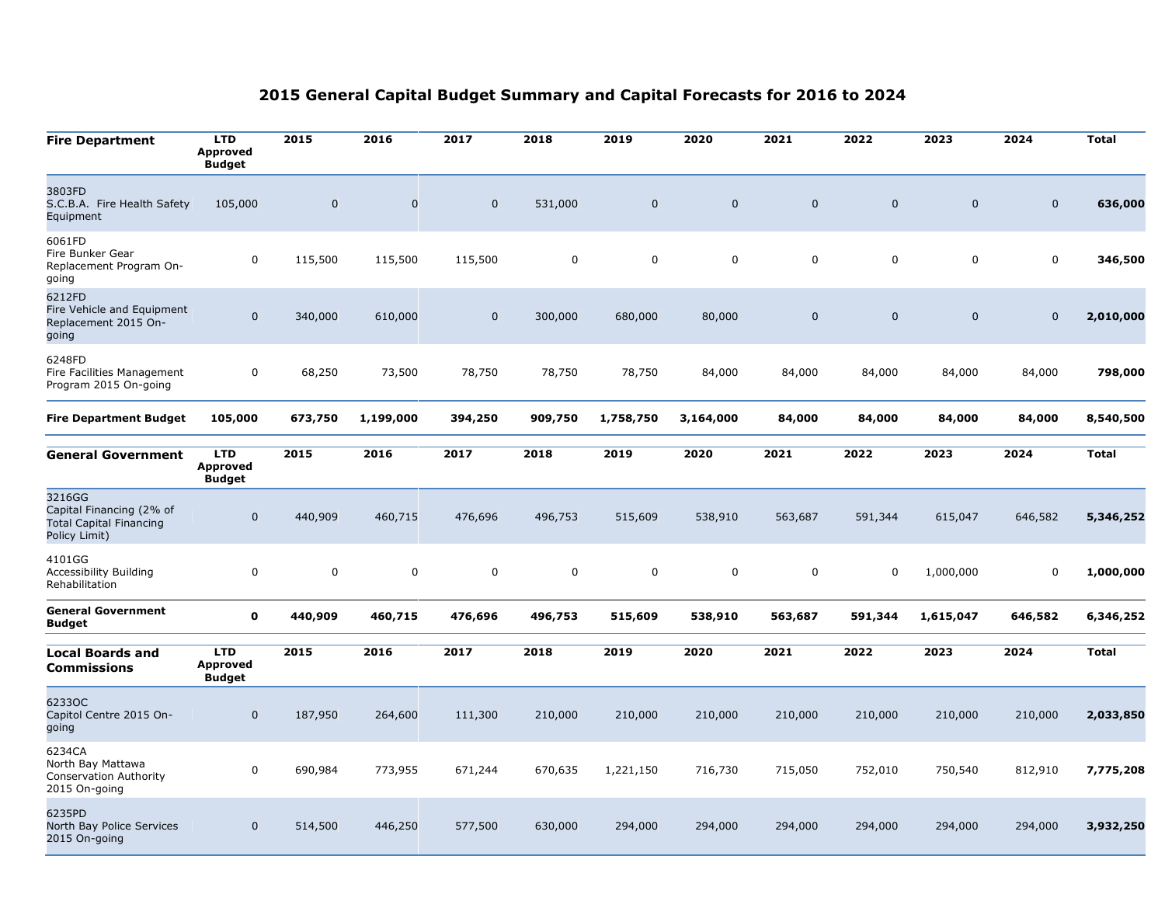| <b>Fire Department</b>                                                                | <b>LTD</b><br><b>Approved</b><br><b>Budget</b> | 2015        | 2016                | 2017                | 2018        | 2019        | 2020        | 2021      | 2022        | 2023        | 2024        | <b>Total</b> |
|---------------------------------------------------------------------------------------|------------------------------------------------|-------------|---------------------|---------------------|-------------|-------------|-------------|-----------|-------------|-------------|-------------|--------------|
| 3803FD<br>S.C.B.A. Fire Health Safety<br>Equipment                                    | 105,000                                        | $\mathbf 0$ | $\mathsf{O}\xspace$ | $\mathsf{O}\xspace$ | 531,000     | $\mathbf 0$ | $\mathbf 0$ | $\pmb{0}$ | $\mathbf 0$ | $\mathbf 0$ | $\mathbf 0$ | 636,000      |
| 6061FD<br>Fire Bunker Gear<br>Replacement Program On-<br>going                        | 0                                              | 115,500     | 115,500             | 115,500             | $\mathbf 0$ | $\mathbf 0$ | 0           | $\pmb{0}$ | $\mathbf 0$ | $\mathbf 0$ | $\mathbf 0$ | 346,500      |
| 6212FD<br>Fire Vehicle and Equipment<br>Replacement 2015 On-<br>going                 | $\mathbf 0$                                    | 340,000     | 610,000             | 0                   | 300,000     | 680,000     | 80,000      | $\pmb{0}$ | $\Omega$    | $\mathbf 0$ | $\mathbf 0$ | 2,010,000    |
| 6248FD<br>Fire Facilities Management<br>Program 2015 On-going                         | $\mathbf 0$                                    | 68,250      | 73,500              | 78,750              | 78,750      | 78,750      | 84,000      | 84,000    | 84,000      | 84,000      | 84,000      | 798,000      |
| <b>Fire Department Budget</b>                                                         | 105,000                                        | 673,750     | 1,199,000           | 394,250             | 909,750     | 1,758,750   | 3,164,000   | 84,000    | 84,000      | 84,000      | 84,000      | 8,540,500    |
| <b>General Government</b>                                                             | <b>LTD</b><br><b>Approved</b><br><b>Budget</b> | 2015        | 2016                | 2017                | 2018        | 2019        | 2020        | 2021      | 2022        | 2023        | 2024        | <b>Total</b> |
| 3216GG<br>Capital Financing (2% of<br><b>Total Capital Financing</b><br>Policy Limit) | $\mathbf 0$                                    | 440,909     | 460,715             | 476,696             | 496,753     | 515,609     | 538,910     | 563,687   | 591,344     | 615,047     | 646,582     | 5,346,252    |
| 4101GG<br>Accessibility Building<br>Rehabilitation                                    | $\mathsf{O}\xspace$                            | $\pmb{0}$   | $\pmb{0}$           | 0                   | 0           | $\mathsf 0$ | 0           | $\pmb{0}$ | $\mathbf 0$ | 1,000,000   | $\mathbf 0$ | 1,000,000    |
| <b>General Government</b><br><b>Budget</b>                                            | $\mathbf 0$                                    | 440,909     | 460,715             | 476,696             | 496,753     | 515,609     | 538,910     | 563,687   | 591,344     | 1,615,047   | 646,582     | 6,346,252    |
| <b>Local Boards and</b><br><b>Commissions</b>                                         | <b>LTD</b><br>Approved<br><b>Budget</b>        | 2015        | 2016                | 2017                | 2018        | 2019        | 2020        | 2021      | 2022        | 2023        | 2024        | <b>Total</b> |
| 6233OC<br>Capitol Centre 2015 On-<br>going                                            | $\mathbf 0$                                    | 187,950     | 264,600             | 111,300             | 210,000     | 210,000     | 210,000     | 210,000   | 210,000     | 210,000     | 210,000     | 2,033,850    |
| 6234CA<br>North Bay Mattawa<br>Conservation Authority<br>2015 On-going                | $\mathbf 0$                                    | 690,984     | 773,955             | 671,244             | 670,635     | 1,221,150   | 716,730     | 715,050   | 752,010     | 750,540     | 812,910     | 7,775,208    |
| 6235PD<br>North Bay Police Services<br>2015 On-going                                  | $\mathbf 0$                                    | 514,500     | 446,250             | 577,500             | 630,000     | 294,000     | 294,000     | 294,000   | 294,000     | 294,000     | 294,000     | 3,932,250    |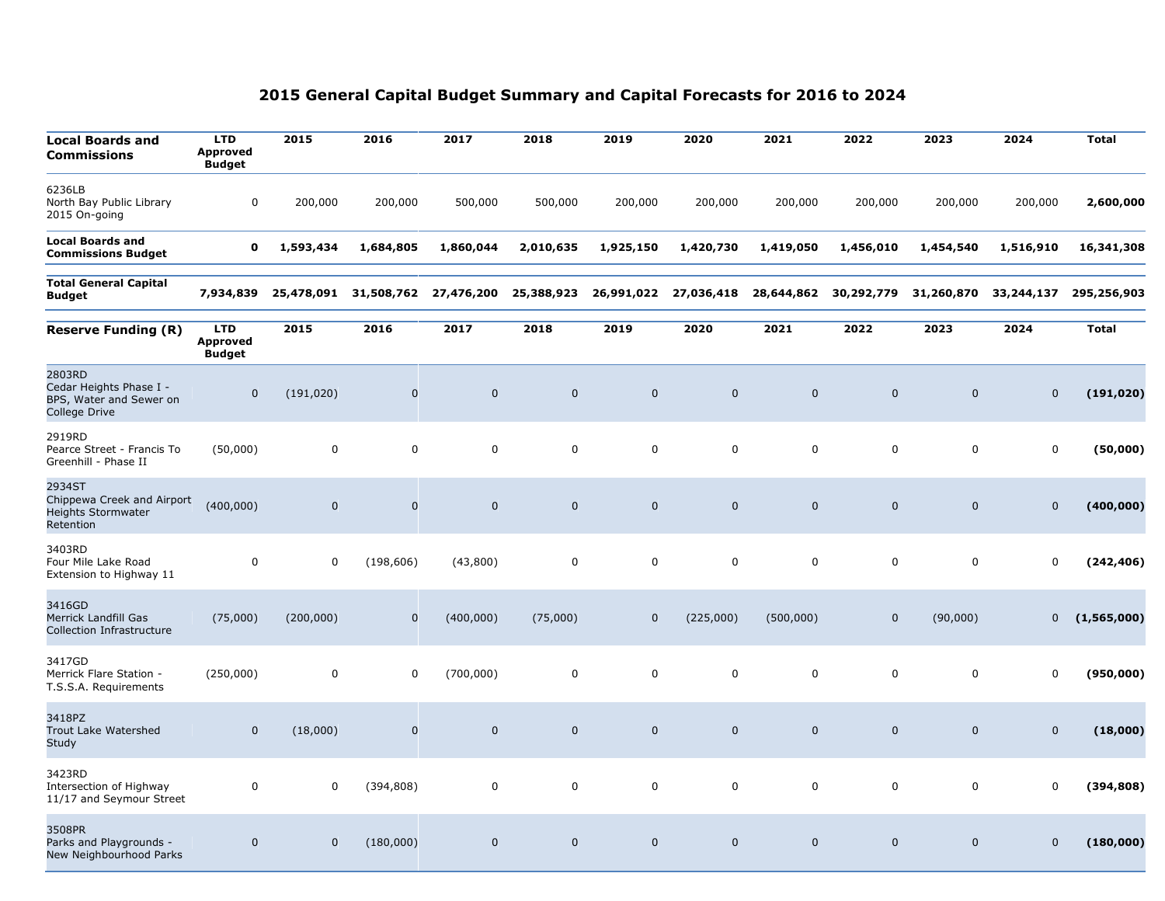| <b>Local Boards and</b><br>Commissions                                        | <b>LTD</b><br><b>Approved</b><br><b>Budget</b> | 2015         | 2016        | 2017         | 2018         | 2019         | 2020         | 2021         | 2022         | 2023         | 2024         | <b>Total</b> |
|-------------------------------------------------------------------------------|------------------------------------------------|--------------|-------------|--------------|--------------|--------------|--------------|--------------|--------------|--------------|--------------|--------------|
| 6236LB<br>North Bay Public Library<br>2015 On-going                           | $\mathbf 0$                                    | 200,000      | 200,000     | 500,000      | 500,000      | 200,000      | 200,000      | 200,000      | 200,000      | 200,000      | 200,000      | 2,600,000    |
| <b>Local Boards and</b><br><b>Commissions Budget</b>                          | 0                                              | 1,593,434    | 1,684,805   | 1,860,044    | 2,010,635    | 1,925,150    | 1,420,730    | 1,419,050    | 1,456,010    | 1,454,540    | 1,516,910    | 16,341,308   |
| <b>Total General Capital</b><br><b>Budget</b>                                 | 7,934,839                                      | 25,478,091   | 31,508,762  | 27,476,200   | 25,388,923   | 26,991,022   | 27,036,418   | 28,644,862   | 30,292,779   | 31,260,870   | 33,244,137   | 295,256,903  |
| <b>Reserve Funding (R)</b>                                                    | <b>LTD</b><br>Approved<br><b>Budget</b>        | 2015         | 2016        | 2017         | 2018         | 2019         | 2020         | 2021         | 2022         | 2023         | 2024         | <b>Total</b> |
| 2803RD<br>Cedar Heights Phase I -<br>BPS, Water and Sewer on<br>College Drive | $\mathbf 0$                                    | (191, 020)   | $\pmb{0}$   | $\mathbf{0}$ | $\mathbf{0}$ | $\mathbf 0$  | $\mathbf{0}$ | $\mathbf 0$  | $\mathbf{0}$ | $\mathbf 0$  | $\mathbf 0$  | (191, 020)   |
| 2919RD<br>Pearce Street - Francis To<br>Greenhill - Phase II                  | (50,000)                                       | $\mathsf 0$  | 0           | $\mathbf 0$  | 0            | $\mathbf 0$  | 0            | $\mathbf 0$  | $\mathbf 0$  | $\mathbf 0$  | $\mathbf 0$  | (50,000)     |
| 2934ST<br>Chippewa Creek and Airport<br>Heights Stormwater<br>Retention       | (400,000)                                      | $\Omega$     | $\mathbf 0$ | $\mathbf 0$  | $\mathbf 0$  | $\mathbf 0$  | $\mathbf 0$  | $\mathbf 0$  | $\Omega$     | $\mathbf 0$  | 0            | (400, 000)   |
| 3403RD<br>Four Mile Lake Road<br>Extension to Highway 11                      | $\mathsf 0$                                    | $\Omega$     | (198, 606)  | (43,800)     | 0            | $\mathbf 0$  | 0            | $\mathbf 0$  | $\Omega$     | $\mathbf 0$  | $\mathbf 0$  | (242,406)    |
| 3416GD<br><b>Merrick Landfill Gas</b><br><b>Collection Infrastructure</b>     | (75,000)                                       | (200,000)    | $\mathbf 0$ | (400,000)    | (75,000)     | $\mathbf 0$  | (225,000)    | (500,000)    | $\mathbf 0$  | (90,000)     | $\mathbf 0$  | (1,565,000)  |
| 3417GD<br>Merrick Flare Station -<br>T.S.S.A. Requirements                    | (250,000)                                      | $\mathbf 0$  | $\mathbf 0$ | (700,000)    | $\mathbf 0$  | $\mathbf 0$  | 0            | $\mathbf 0$  | $\mathbf 0$  | $\mathbf 0$  | 0            | (950,000)    |
| 3418PZ<br>Trout Lake Watershed<br><b>Study</b>                                | $\mathbf 0$                                    | (18,000)     | $\mathbf 0$ | $\mathbf 0$  | $\mathbf{0}$ | $\mathbf 0$  | $\mathbf{0}$ | $\mathbf 0$  | $\mathbf{0}$ | $\mathbf 0$  | $\mathbf 0$  | (18,000)     |
| 3423RD<br>Intersection of Highway<br>11/17 and Seymour Street                 | $\mathbf 0$                                    | 0            | (394, 808)  | $\mathbf 0$  | 0            | $\mathbf 0$  | 0            | $\mathbf 0$  | $\mathbf 0$  | 0            | 0            | (394, 808)   |
| 3508PR<br>Parks and Playgrounds -<br>New Neighbourhood Parks                  | $\mathbf{0}$                                   | $\mathbf{0}$ | (180,000)   | $\mathbf{0}$ | $\mathbf{0}$ | $\mathbf{0}$ | $\mathbf{0}$ | $\mathbf{0}$ | $\Omega$     | $\mathbf{0}$ | $\mathbf{0}$ | (180,000)    |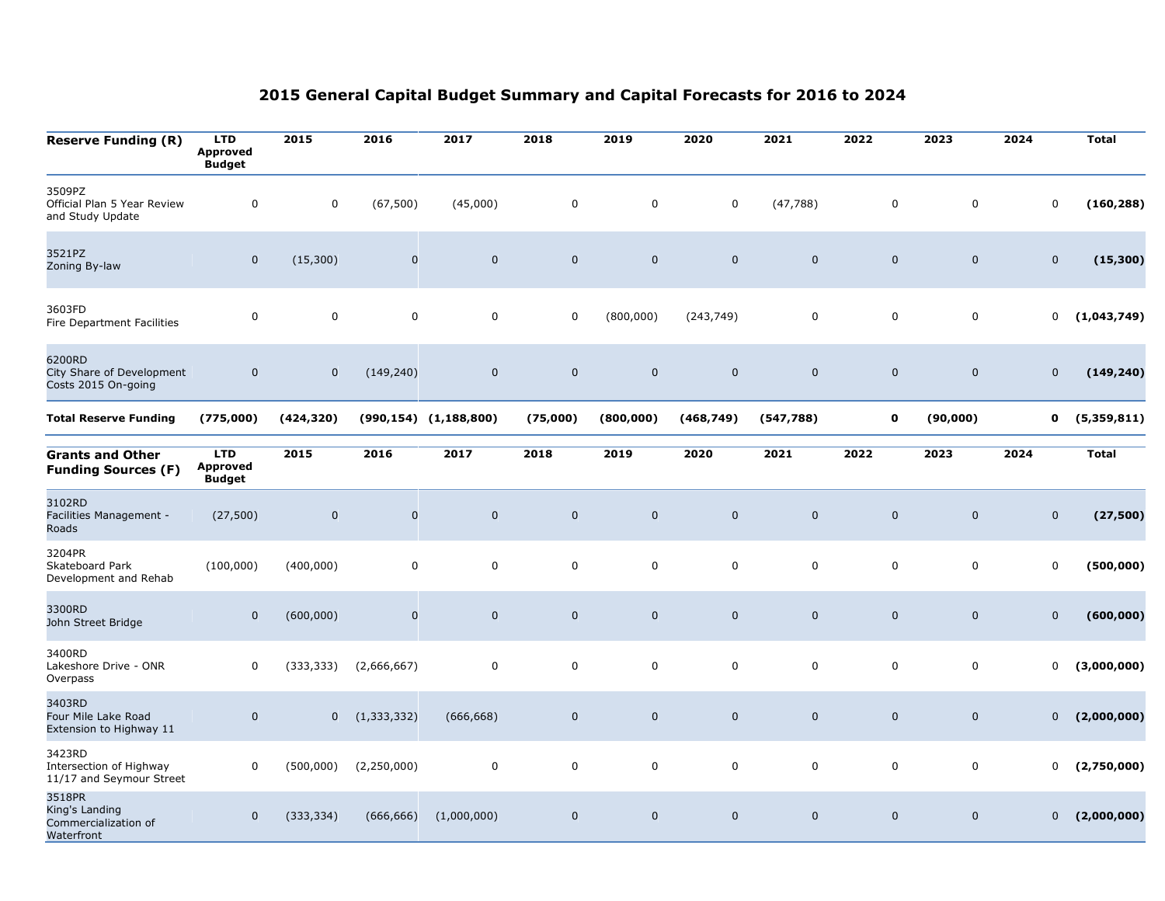| <b>Reserve Funding (R)</b>                                     | <b>LTD</b><br>Approved<br><b>Budget</b>        | 2015        | 2016          | 2017                         | 2018                | 2019        | 2020         | 2021        | 2022        | 2023                | 2024                | <b>Total</b> |
|----------------------------------------------------------------|------------------------------------------------|-------------|---------------|------------------------------|---------------------|-------------|--------------|-------------|-------------|---------------------|---------------------|--------------|
| 3509PZ<br>Official Plan 5 Year Review<br>and Study Update      | $\mathbf 0$                                    | $\mathbf 0$ | (67, 500)     | (45,000)                     | $\boldsymbol{0}$    | $\mathbf 0$ | 0            | (47, 788)   | $\mathbf 0$ | 0                   | $\mathsf{O}\xspace$ | (160, 288)   |
| 3521PZ<br>Zoning By-law                                        | $\mathsf{O}\xspace$                            | (15, 300)   | $\pmb{0}$     | $\pmb{0}$                    | $\mathbf 0$         | $\mathbf 0$ | $\pmb{0}$    | $\mathbf 0$ | $\pmb{0}$   | $\mathsf{O}\xspace$ | $\mathbf 0$         | (15, 300)    |
| 3603FD<br>Fire Department Facilities                           | $\mathbf 0$                                    | $\mathbf 0$ | $\mathsf 0$   | $\pmb{0}$                    | $\mathbf 0$         | (800,000)   | (243, 749)   | $\mathsf 0$ | $\mathbf 0$ | 0                   | $\mathbf 0$         | (1,043,749)  |
| 6200RD<br>City Share of Development<br>Costs 2015 On-going     | $\mathbf 0$                                    | $\mathbf 0$ | (149, 240)    | $\pmb{0}$                    | $\mathbf 0$         | $\mathbf 0$ | $\mathbf 0$  | $\mathbf 0$ | $\mathbf 0$ | $\mathbf 0$         | $\mathbf 0$         | (149, 240)   |
| <b>Total Reserve Funding</b>                                   | (775,000)                                      | (424, 320)  |               | $(990, 154)$ $(1, 188, 800)$ | (75,000)            | (800, 000)  | (468, 749)   | (547, 788)  | 0           | (90,000)            | 0                   | (5,359,811)  |
| <b>Grants and Other</b><br><b>Funding Sources (F)</b>          | <b>LTD</b><br><b>Approved</b><br><b>Budget</b> | 2015        | 2016          | 2017                         | 2018                | 2019        | 2020         | 2021        | 2022        | 2023                | 2024                | <b>Total</b> |
| 3102RD<br>Facilities Management -<br>Roads                     | (27, 500)                                      | $\mathbf 0$ | $\mathbf 0$   | $\mathsf{O}\xspace$          | $\mathbf 0$         | $\mathbf 0$ | $\mathbf{0}$ | $\mathbf 0$ | $\mathbf 0$ | $\mathbf 0$         | $\mathbf 0$         | (27, 500)    |
| 3204PR<br>Skateboard Park<br>Development and Rehab             | (100,000)                                      | (400,000)   | $\mathsf 0$   | $\pmb{0}$                    | $\mathbf 0$         | $\mathsf 0$ | $\mathbf 0$  | $\mathbf 0$ | $\mathbf 0$ | 0                   | $\mathbf 0$         | (500,000)    |
| 3300RD<br>John Street Bridge                                   | $\pmb{0}$                                      | (600, 000)  | $\pmb{0}$     | $\mathbf 0$                  | $\mathsf{O}\xspace$ | $\pmb{0}$   | $\mathbf 0$  | $\mathbf 0$ | $\pmb{0}$   | $\mathsf{O}\xspace$ | $\mathbf 0$         | (600, 000)   |
| 3400RD<br>Lakeshore Drive - ONR<br>Overpass                    | 0                                              | (333, 333)  | (2,666,667)   | 0                            | $\mathbf 0$         | $\mathsf 0$ | 0            | $\mathbf 0$ | $\mathbf 0$ | 0                   | $\mathbf 0$         | (3,000,000)  |
| 3403RD<br>Four Mile Lake Road<br>Extension to Highway 11       | $\pmb{0}$                                      | $\mathbf 0$ | (1, 333, 332) | (666, 668)                   | $\mathbf 0$         | $\mathbf 0$ | $\mathbf 0$  | $\mathbf 0$ | $\mathbf 0$ | $\mathbf 0$         | $\mathbf{0}$        | (2,000,000)  |
| 3423RD<br>Intersection of Highway<br>11/17 and Seymour Street  | 0                                              | (500,000)   | (2,250,000)   | $\mathsf{O}\xspace$          | $\mathbf 0$         | $\mathsf 0$ | 0            | $\mathbf 0$ | $\mathbf 0$ | 0                   | $\mathbf 0$         | (2,750,000)  |
| 3518PR<br>King's Landing<br>Commercialization of<br>Waterfront | $\mathbf 0$                                    | (333, 334)  | (666, 666)    | (1,000,000)                  | $\mathbf 0$         | $\mathbf 0$ | $\mathbf 0$  | $\mathbf 0$ | $\mathbf 0$ | $\mathbf 0$         | $\overline{0}$      | (2,000,000)  |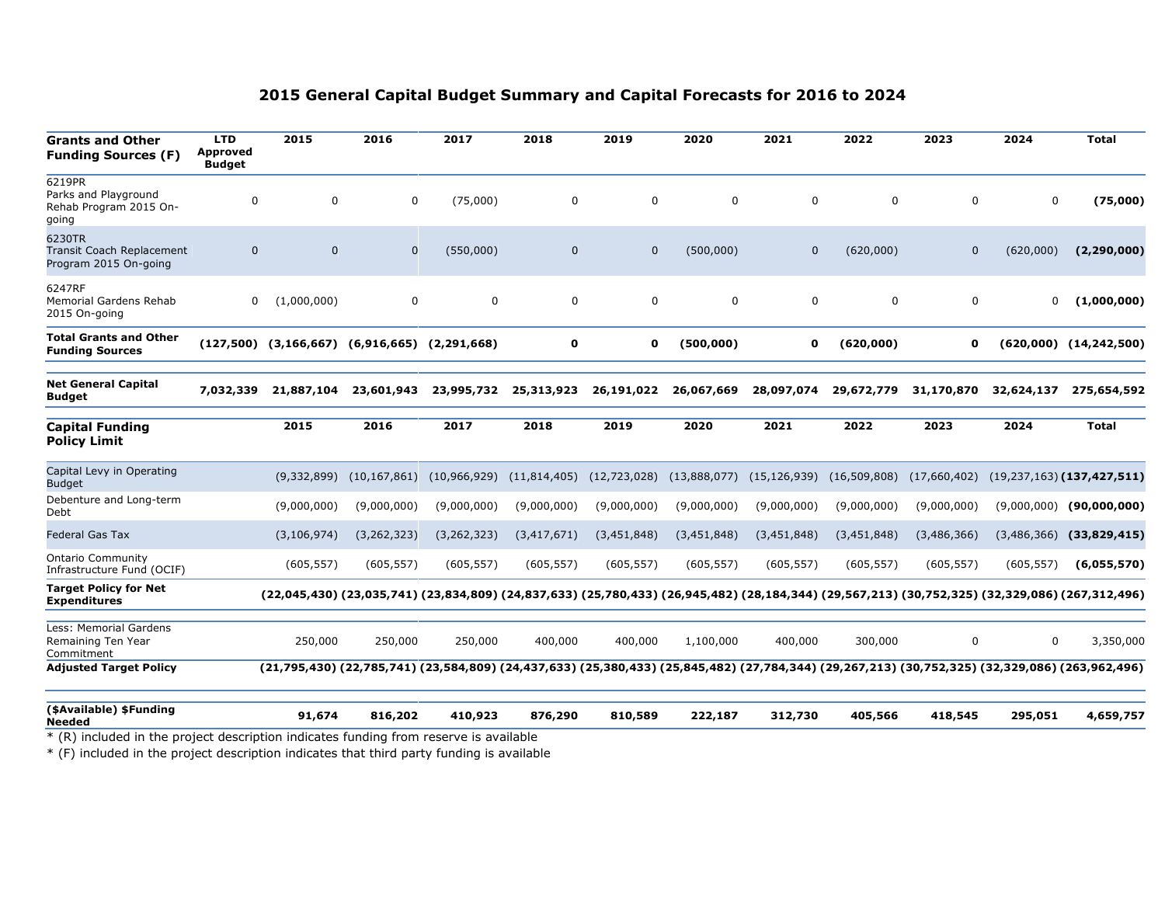| <b>Grants and Other</b><br><b>Funding Sources (F)</b>                                                                             | <b>LTD</b><br>Approved<br><b>Budget</b> | 2015          | 2016                                            | 2017          | 2018           | 2019           | 2020         | 2021           | 2022           | 2023         | 2024        | <b>Total</b>                                                                                                                                    |
|-----------------------------------------------------------------------------------------------------------------------------------|-----------------------------------------|---------------|-------------------------------------------------|---------------|----------------|----------------|--------------|----------------|----------------|--------------|-------------|-------------------------------------------------------------------------------------------------------------------------------------------------|
| 6219PR<br>Parks and Playground<br>Rehab Program 2015 On-<br>going                                                                 | 0                                       | 0             | $\mathbf 0$                                     | (75,000)      | 0              | 0              | 0            | 0              | 0              | $\mathbf 0$  | $\mathbf 0$ | (75,000)                                                                                                                                        |
| 6230TR<br>Transit Coach Replacement<br>Program 2015 On-going                                                                      | $\mathbf{0}$                            | $\Omega$      | $\mathbf{0}$                                    | (550,000)     | $\mathbf{0}$   | $\mathbf{0}$   | (500,000)    | $\mathbf{0}$   | (620,000)      | $\mathbf{0}$ | (620,000)   | (2, 290, 000)                                                                                                                                   |
| 6247RF<br>Memorial Gardens Rehab<br>2015 On-going                                                                                 | 0                                       | (1,000,000)   | $\mathbf 0$                                     | $\mathbf 0$   | 0              | $\mathbf 0$    | $\mathbf 0$  | $\mathbf 0$    | $\Omega$       | $\mathbf 0$  | 0           | (1,000,000)                                                                                                                                     |
| <b>Total Grants and Other</b><br><b>Funding Sources</b>                                                                           | (127,500)                               |               | $(3, 166, 667)$ $(6, 916, 665)$ $(2, 291, 668)$ |               | 0              | 0              | (500,000)    | 0              | (620,000)      | 0            |             | $(620,000)$ $(14,242,500)$                                                                                                                      |
| <b>Net General Capital</b><br><b>Budget</b>                                                                                       | 7,032,339                               | 21,887,104    | 23,601,943                                      | 23,995,732    | 25,313,923     | 26,191,022     | 26,067,669   | 28,097,074     | 29,672,779     | 31,170,870   | 32,624,137  | 275,654,592                                                                                                                                     |
| <b>Capital Funding</b><br><b>Policy Limit</b>                                                                                     |                                         | 2015          | 2016                                            | 2017          | 2018           | 2019           | 2020         | 2021           | 2022           | 2023         | 2024        | <b>Total</b>                                                                                                                                    |
| Capital Levy in Operating<br><b>Budget</b>                                                                                        |                                         | (9,332,899)   | (10, 167, 861)                                  | (10,966,929)  | (11, 814, 405) | (12, 723, 028) | (13,888,077) | (15, 126, 939) | (16, 509, 808) | (17,660,402) |             | $(19, 237, 163)$ (137,427,511)                                                                                                                  |
| Debenture and Long-term<br>Debt                                                                                                   |                                         | (9,000,000)   | (9,000,000)                                     | (9,000,000)   | (9,000,000)    | (9,000,000)    | (9,000,000)  | (9,000,000)    | (9,000,000)    | (9,000,000)  |             | $(9,000,000)$ (90,000,000)                                                                                                                      |
| <b>Federal Gas Tax</b>                                                                                                            |                                         | (3, 106, 974) | (3, 262, 323)                                   | (3, 262, 323) | (3,417,671)    | (3,451,848)    | (3,451,848)  | (3,451,848)    | (3,451,848)    | (3,486,366)  | (3,486,366) | (33,829,415)                                                                                                                                    |
| <b>Ontario Community</b><br>Infrastructure Fund (OCIF)                                                                            |                                         | (605, 557)    | (605, 557)                                      | (605, 557)    | (605, 557)     | (605, 557)     | (605, 557)   | (605, 557)     | (605, 557)     | (605, 557)   | (605, 557)  | (6,055,570)                                                                                                                                     |
| <b>Target Policy for Net</b><br><b>Expenditures</b>                                                                               |                                         |               |                                                 |               |                |                |              |                |                |              |             | (22,045,430) (23,035,741) (23,834,809) (24,837,633) (25,780,433) (26,945,482) (28,184,344) (29,567,213) (30,752,325) (32,329,086) (267,312,496) |
| Less: Memorial Gardens<br>Remaining Ten Year<br>Commitment                                                                        |                                         | 250,000       | 250,000                                         | 250,000       | 400,000        | 400,000        | 1,100,000    | 400,000        | 300,000        | $\mathbf 0$  | 0           | 3,350,000                                                                                                                                       |
| <b>Adjusted Target Policy</b>                                                                                                     |                                         |               |                                                 |               |                |                |              |                |                |              |             | (21,795,430) (22,785,741) (23,584,809) (24,437,633) (25,380,433) (25,845,482) (27,784,344) (29,267,213) (30,752,325) (32,329,086) (263,962,496) |
| (\$Available) \$Funding<br><b>Needed</b><br>* (R) included in the project description indicates funding from reserve is available |                                         | 91,674        | 816,202                                         | 410,923       | 876,290        | 810,589        | 222,187      | 312,730        | 405,566        | 418,545      | 295,051     | 4,659,757                                                                                                                                       |

\* (F) included in the project description indicates that third party funding is available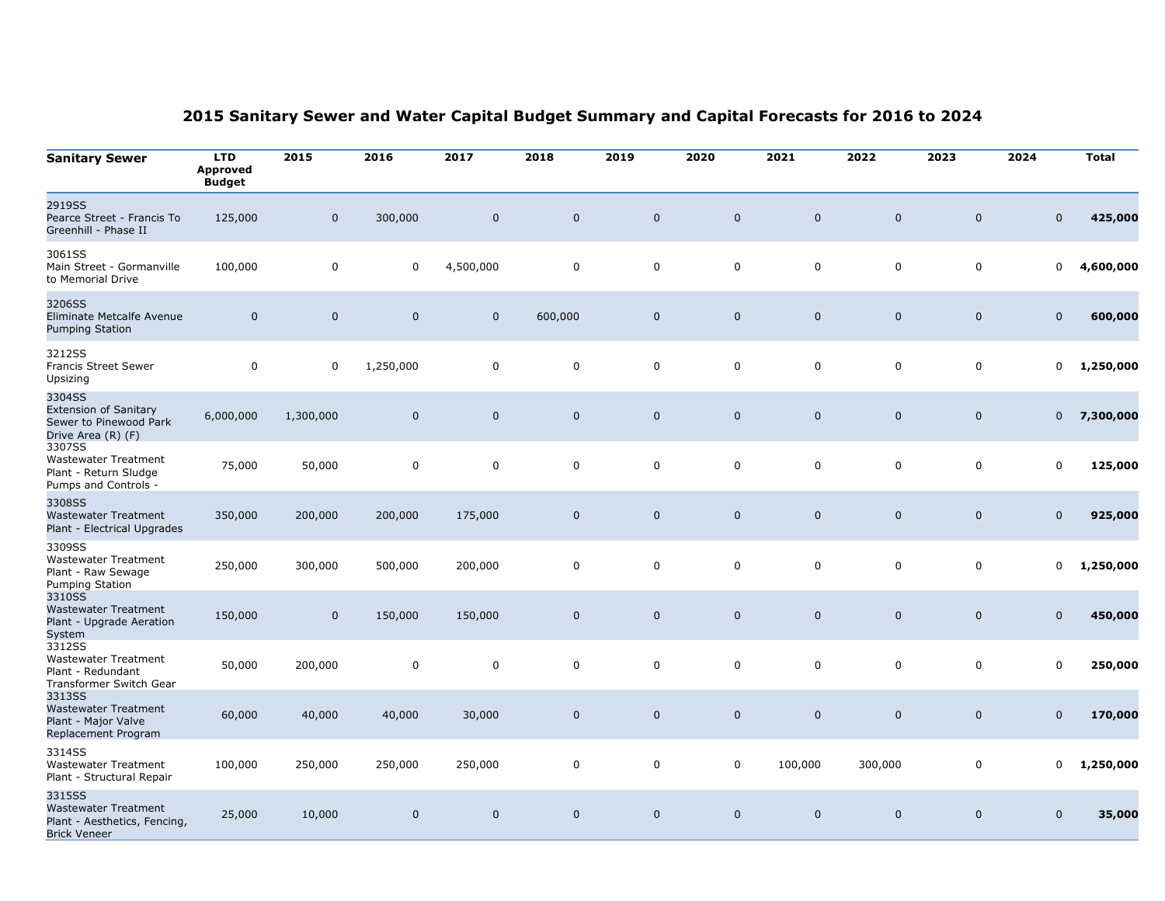| <b>Sanitary Sewer</b>                                                                        | <b>LTD</b><br><b>Approved</b><br><b>Budget</b> | 2015         | 2016                | 2017         | 2018        | 2019         | 2020         | 2021         | 2022         | 2023         | 2024         | <b>Total</b> |
|----------------------------------------------------------------------------------------------|------------------------------------------------|--------------|---------------------|--------------|-------------|--------------|--------------|--------------|--------------|--------------|--------------|--------------|
| 2919SS<br>Pearce Street - Francis To<br>Greenhill - Phase II                                 | 125,000                                        | $\mathbf{0}$ | 300,000             | $\mathbf{0}$ | $\mathbf 0$ | $\mathbf 0$  | $\mathbf 0$  | $\mathbf{0}$ | $\mathbf 0$  | $\mathbf{0}$ | $\mathbf 0$  | 425,000      |
| 3061SS<br>Main Street - Gormanville<br>to Memorial Drive                                     | 100,000                                        | 0            | $\mathbf 0$         | 4,500,000    | $\mathbf 0$ | 0            | 0            | 0            | 0            | $\mathbf 0$  | 0            | 4,600,000    |
| 3206SS<br>Eliminate Metcalfe Avenue<br><b>Pumping Station</b>                                | $\mathbf 0$                                    | $\mathbf 0$  | $\mathsf{O}\xspace$ | $\mathbf 0$  | 600,000     | $\mathbf 0$  | $\mathbf 0$  | $\mathbf 0$  | $\mathbf 0$  | $\mathbf 0$  | $\mathbf 0$  | 600,000      |
| 3212SS<br><b>Francis Street Sewer</b><br>Upsizing                                            | $\mathbf 0$                                    | 0            | 1,250,000           | 0            | 0           | 0            | 0            | 0            | 0            | 0            | 0            | 1,250,000    |
| 3304SS<br><b>Extension of Sanitary</b><br>Sewer to Pinewood Park<br>Drive Area (R) (F)       | 6,000,000                                      | 1,300,000    | $\mathbf 0$         | $\mathbf{0}$ | $\mathbf 0$ | $\mathbf{0}$ | $\mathbf{0}$ | $\mathbf{0}$ | $\mathbf{0}$ | $\mathbf{0}$ | $\mathbf 0$  | 7,300,000    |
| 3307SS<br><b>Wastewater Treatment</b><br>Plant - Return Sludge<br>Pumps and Controls -       | 75,000                                         | 50,000       | $\mathbf 0$         | $\mathbf 0$  | $\mathbf 0$ | 0            | 0            | 0            | 0            | 0            | 0            | 125,000      |
| 3308SS<br><b>Wastewater Treatment</b><br>Plant - Electrical Upgrades                         | 350,000                                        | 200,000      | 200,000             | 175,000      | $\mathbf 0$ | $\mathbf 0$  | $\mathbf 0$  | $\mathbf 0$  | $\mathbf 0$  | $\mathbf 0$  | $\mathbf 0$  | 925,000      |
| 3309SS<br><b>Wastewater Treatment</b><br>Plant - Raw Sewage<br><b>Pumping Station</b>        | 250,000                                        | 300,000      | 500,000             | 200,000      | $\mathbf 0$ | $\mathbf 0$  | 0            | $\mathbf 0$  | 0            | $\mathbf 0$  | 0            | 1,250,000    |
| 3310SS<br><b>Wastewater Treatment</b><br>Plant - Upgrade Aeration<br>System                  | 150,000                                        | $\mathbf 0$  | 150,000             | 150,000      | $\mathbf 0$ | $\mathbf 0$  | $\mathbf 0$  | $\mathbf 0$  | $\mathbf 0$  | $\mathbf 0$  | $\mathbf 0$  | 450,000      |
| 3312SS<br><b>Wastewater Treatment</b><br>Plant - Redundant<br>Transformer Switch Gear        | 50,000                                         | 200,000      | $\pmb{0}$           | $\mathbf 0$  | $\mathbf 0$ | 0            | 0            | 0            | 0            | 0            | 0            | 250,000      |
| 3313SS<br><b>Wastewater Treatment</b><br>Plant - Major Valve<br>Replacement Program          | 60,000                                         | 40,000       | 40,000              | 30,000       | $\mathbf 0$ | $\mathbf{0}$ | $\mathbf 0$  | $\mathbf 0$  | $\mathbf 0$  | $\mathbf 0$  | $\mathbf 0$  | 170,000      |
| 3314SS<br><b>Wastewater Treatment</b><br>Plant - Structural Repair                           | 100,000                                        | 250,000      | 250,000             | 250,000      | 0           | 0            | 0            | 100,000      | 300,000      | $\mathbf 0$  | 0            | 1,250,000    |
| 3315SS<br><b>Wastewater Treatment</b><br>Plant - Aesthetics, Fencing,<br><b>Brick Veneer</b> | 25,000                                         | 10,000       | $\mathbf 0$         | $\mathbf{0}$ | $\mathbf 0$ | $\mathbf{0}$ | $\mathbf 0$  | $\mathbf{0}$ | $\mathbf 0$  | $\mathbf{0}$ | $\mathbf{0}$ | 35,000       |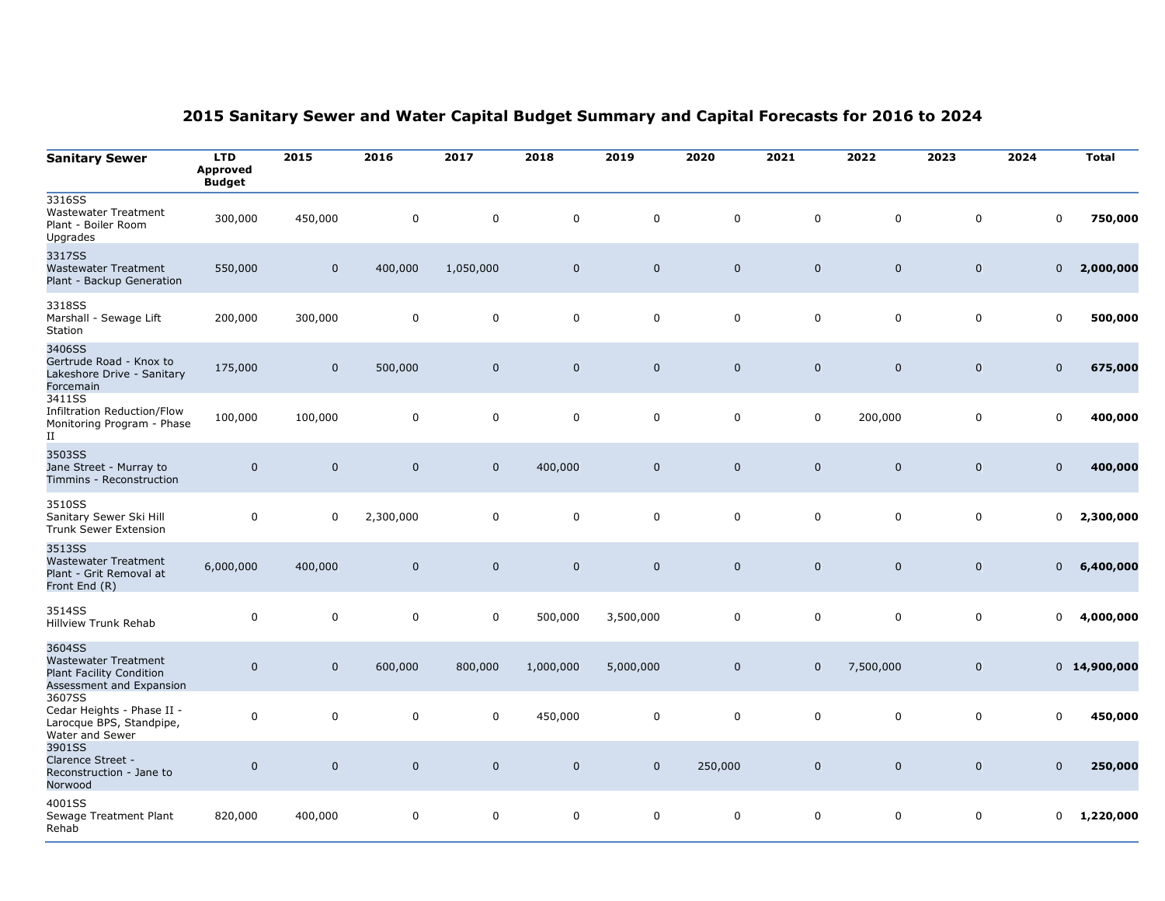| <b>Sanitary Sewer</b>                                                                         | <b>LTD</b><br><b>Approved</b><br><br>Budget | 2015         | 2016        | 2017         | 2018        | 2019         | 2020         | 2021           | 2022        | 2023           | 2024         | <b>Total</b>   |
|-----------------------------------------------------------------------------------------------|---------------------------------------------|--------------|-------------|--------------|-------------|--------------|--------------|----------------|-------------|----------------|--------------|----------------|
| 3316SS<br><b>Wastewater Treatment</b><br>Plant - Boiler Room<br>Upgrades                      | 300,000                                     | 450,000      | 0           | 0            | 0           | 0            | 0            | $\mathbf 0$    | $\mathbf 0$ | $\Omega$       | 0            | 750,000        |
| 3317SS<br><b>Wastewater Treatment</b><br>Plant - Backup Generation                            | 550,000                                     | $\mathbf 0$  | 400,000     | 1,050,000    | $\mathbf 0$ | $\mathbf 0$  | $\mathbf 0$  | $\mathbf{0}$   | $\mathbf 0$ | $\mathbf 0$    | $\pmb{0}$    | 2,000,000      |
| 3318SS<br>Marshall - Sewage Lift<br>Station                                                   | 200,000                                     | 300,000      | 0           | $\mathbf 0$  | 0           | $\mathbf 0$  | $\mathbf 0$  | $\mathbf 0$    | $\mathbf 0$ | $\mathbf 0$    | $\mathbf 0$  | 500,000        |
| 3406SS<br>Gertrude Road - Knox to<br>Lakeshore Drive - Sanitary<br>Forcemain                  | 175,000                                     | $\mathbf 0$  | 500,000     | $\mathbf 0$  | $\mathbf 0$ | $\mathbf 0$  | $\mathbf 0$  | $\mathbf 0$    | $\mathbf 0$ | $\mathbf 0$    | $\mathbf 0$  | 675,000        |
| 3411SS<br>Infiltration Reduction/Flow<br>Monitoring Program - Phase<br>$_{\rm II}$            | 100,000                                     | 100,000      | 0           | $\Omega$     | $\mathbf 0$ | $\Omega$     | $\mathbf 0$  | $\mathbf 0$    | 200,000     | $\mathbf 0$    | $\mathbf 0$  | 400,000        |
| 3503SS<br>Jane Street - Murray to<br>Timmins - Reconstruction                                 | $\mathbf 0$                                 | $\mathbf{0}$ | $\mathbf 0$ | $\mathbf 0$  | 400,000     | $\mathbf{0}$ | $\mathbf{0}$ | $\mathbf 0$    | $\mathbf 0$ | $\overline{0}$ | $\mathbf 0$  | 400,000        |
| 3510SS<br>Sanitary Sewer Ski Hill<br><b>Trunk Sewer Extension</b>                             | 0                                           | 0            | 2,300,000   | 0            | 0           | 0            | 0            | $\mathbf 0$    | $\mathbf 0$ | $\mathbf 0$    | 0            | 2,300,000      |
| 3513SS<br><b>Wastewater Treatment</b><br>Plant - Grit Removal at<br>Front End (R)             | 6,000,000                                   | 400,000      | $\mathbf 0$ | $\mathbf{0}$ | $\mathbf 0$ | $\mathbf{0}$ | $\mathbf 0$  | $\overline{0}$ | $\mathbf 0$ | $\mathbf 0$    | $\mathbf{0}$ | 6,400,000      |
| 3514SS<br>Hillview Trunk Rehab                                                                | $\mathsf 0$                                 | $\mathbf 0$  | 0           | 0            | 500,000     | 3,500,000    | $\mathbf 0$  | $\mathbf 0$    | $\mathbf 0$ | $\mathsf 0$    | 0            | 4,000,000      |
| 3604SS<br><b>Wastewater Treatment</b><br>Plant Facility Condition<br>Assessment and Expansion | $\mathbf 0$                                 | $\mathbf{0}$ | 600,000     | 800,000      | 1,000,000   | 5,000,000    | $\mathbf 0$  | $\mathbf{0}$   | 7,500,000   | $\mathbf 0$    |              | $0$ 14,900,000 |
| 3607SS<br>Cedar Heights - Phase II -<br>Larocque BPS, Standpipe,<br>Water and Sewer           | $\pmb{0}$                                   | $\mathbf 0$  | $\pmb{0}$   | 0            | 450,000     | $\mathbf 0$  | 0            | $\Omega$       | $\mathbf 0$ | $\mathbf 0$    | $\Omega$     | 450,000        |
| 3901SS<br>Clarence Street -<br>Reconstruction - Jane to<br>Norwood                            | $\mathbf 0$                                 | $\mathbf 0$  | $\mathbf 0$ | $\mathbf 0$  | $\mathbf 0$ | $\mathbf 0$  | 250,000      | $\mathbf 0$    | $\mathbf 0$ | $\mathbf 0$    | $\mathbf 0$  | 250,000        |
| 4001SS<br>Sewage Treatment Plant<br>Rehab                                                     | 820,000                                     | 400,000      | 0           | 0            | 0           | $\Omega$     | 0            | $\Omega$       | $\mathbf 0$ | 0              | 0            | 1,220,000      |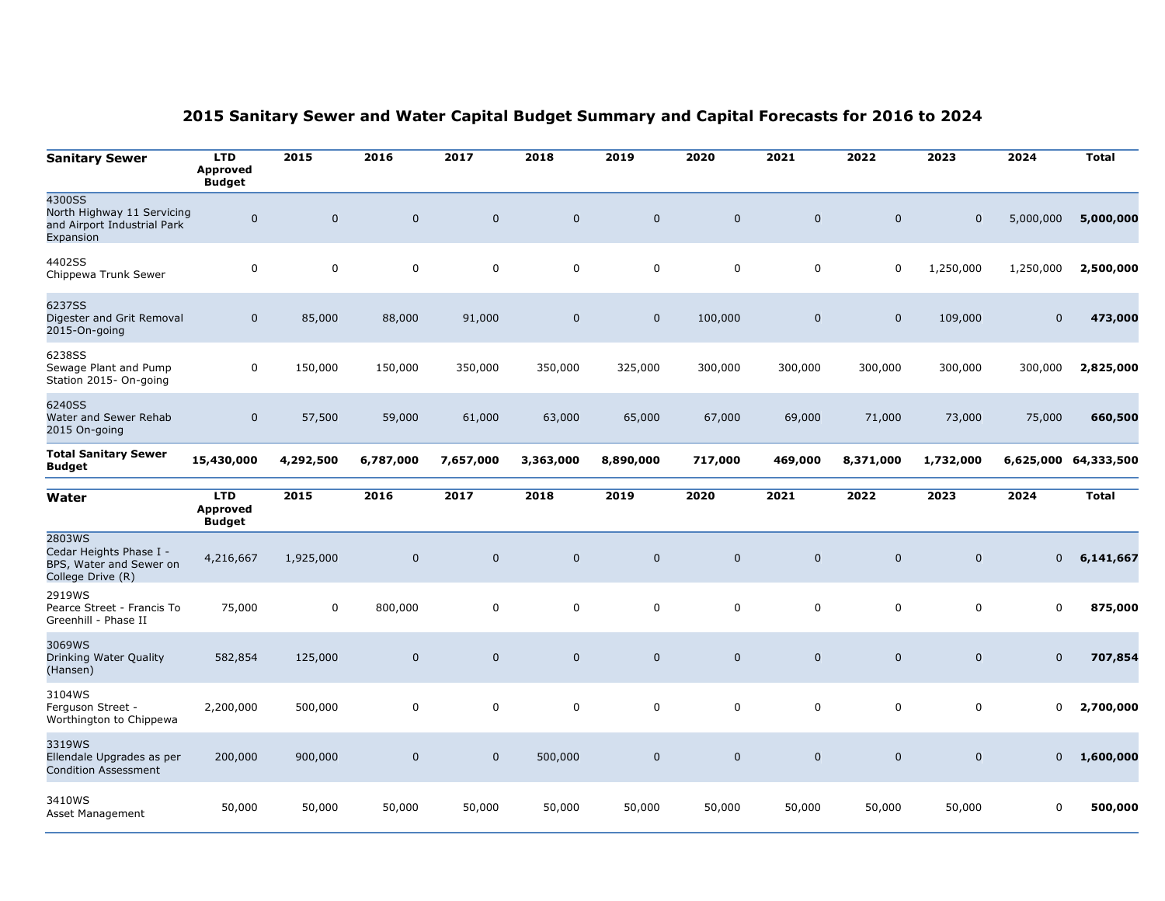| <b>Sanitary Sewer</b>                                                             | <b>LTD</b><br><b>Approved</b><br><b>Budget</b> | 2015         | 2016        | 2017         | 2018        | 2019         | 2020        | 2021         | 2022        | 2023        | 2024        | <b>Total</b> |
|-----------------------------------------------------------------------------------|------------------------------------------------|--------------|-------------|--------------|-------------|--------------|-------------|--------------|-------------|-------------|-------------|--------------|
| 4300SS<br>North Highway 11 Servicing<br>and Airport Industrial Park<br>Expansion  | $\mathbf 0$                                    | $\mathbf{0}$ | $\mathbf 0$ | $\mathbf{0}$ | $\mathbf 0$ | $\mathbf{0}$ | $\mathbf 0$ | $\mathbf{0}$ | $\mathbf 0$ | $\mathbf 0$ | 5,000,000   | 5,000,000    |
| 4402SS<br>Chippewa Trunk Sewer                                                    | 0                                              | 0            | $\mathbf 0$ | $\mathbf 0$  | $\mathbf 0$ | $\mathbf 0$  | $\mathbf 0$ | 0            | 0           | 1,250,000   | 1,250,000   | 2,500,000    |
| 6237SS<br>Digester and Grit Removal<br>2015-On-going                              | $\mathbf 0$                                    | 85,000       | 88,000      | 91,000       | $\mathbf 0$ | $\mathbf 0$  | 100,000     | $\mathbf 0$  | $\mathbf 0$ | 109,000     | $\mathbf 0$ | 473,000      |
| 6238SS<br>Sewage Plant and Pump<br>Station 2015- On-going                         | 0                                              | 150,000      | 150,000     | 350,000      | 350,000     | 325,000      | 300,000     | 300,000      | 300,000     | 300,000     | 300,000     | 2,825,000    |
| 6240SS<br>Water and Sewer Rehab<br>2015 On-going                                  | $\mathbf 0$                                    | 57,500       | 59,000      | 61,000       | 63,000      | 65,000       | 67,000      | 69,000       | 71,000      | 73,000      | 75,000      | 660,500      |
| <b>Total Sanitary Sewer</b><br><b>Budget</b>                                      | 15,430,000                                     | 4,292,500    | 6,787,000   | 7,657,000    | 3,363,000   | 8,890,000    | 717,000     | 469,000      | 8,371,000   | 1,732,000   | 6,625,000   | 64,333,500   |
| Water                                                                             | <b>LTD</b><br><b>Approved</b><br><b>Budget</b> | 2015         | 2016        | 2017         | 2018        | 2019         | 2020        | 2021         | 2022        | 2023        | 2024        | <b>Total</b> |
| 2803WS<br>Cedar Heights Phase I -<br>BPS, Water and Sewer on<br>College Drive (R) | 4,216,667                                      | 1,925,000    | $\pmb{0}$   | $\mathbf 0$  | $\mathbf 0$ | $\mathbf 0$  | $\mathbf 0$ | $\mathbf 0$  | $\mathbf 0$ | $\mathbf 0$ | 0           | 6,141,667    |
| 2919WS<br>Pearce Street - Francis To<br>Greenhill - Phase II                      | 75,000                                         | 0            | 800,000     | $\mathbf 0$  | 0           | 0            | 0           | $\mathbf 0$  | $\mathbf 0$ | $\mathbf 0$ | $\mathbf 0$ | 875,000      |
| 3069WS<br>Drinking Water Quality<br>(Hansen)                                      | 582,854                                        | 125,000      | $\mathbf 0$ | $\mathbf 0$  | $\mathbf 0$ | $\mathbf 0$  | $\mathbf 0$ | $\mathbf 0$  | $\mathbf 0$ | $\mathbf 0$ | $\mathbf 0$ | 707,854      |
| 3104WS<br>Ferguson Street -<br>Worthington to Chippewa                            | 2,200,000                                      | 500,000      | 0           | 0            | 0           | $\mathbf 0$  | 0           | $\mathbf 0$  | 0           | $\mathbf 0$ | 0           | 2,700,000    |
| 3319WS<br>Ellendale Upgrades as per<br><b>Condition Assessment</b>                | 200,000                                        | 900,000      | $\mathbf 0$ | $\mathbf 0$  | 500,000     | $\mathbf 0$  | $\mathbf 0$ | $\mathbf 0$  | $\mathbf 0$ | $\mathbf 0$ | 0           | 1,600,000    |
| 3410WS<br>Asset Management                                                        | 50,000                                         | 50,000       | 50,000      | 50,000       | 50,000      | 50,000       | 50,000      | 50,000       | 50,000      | 50,000      | 0           | 500,000      |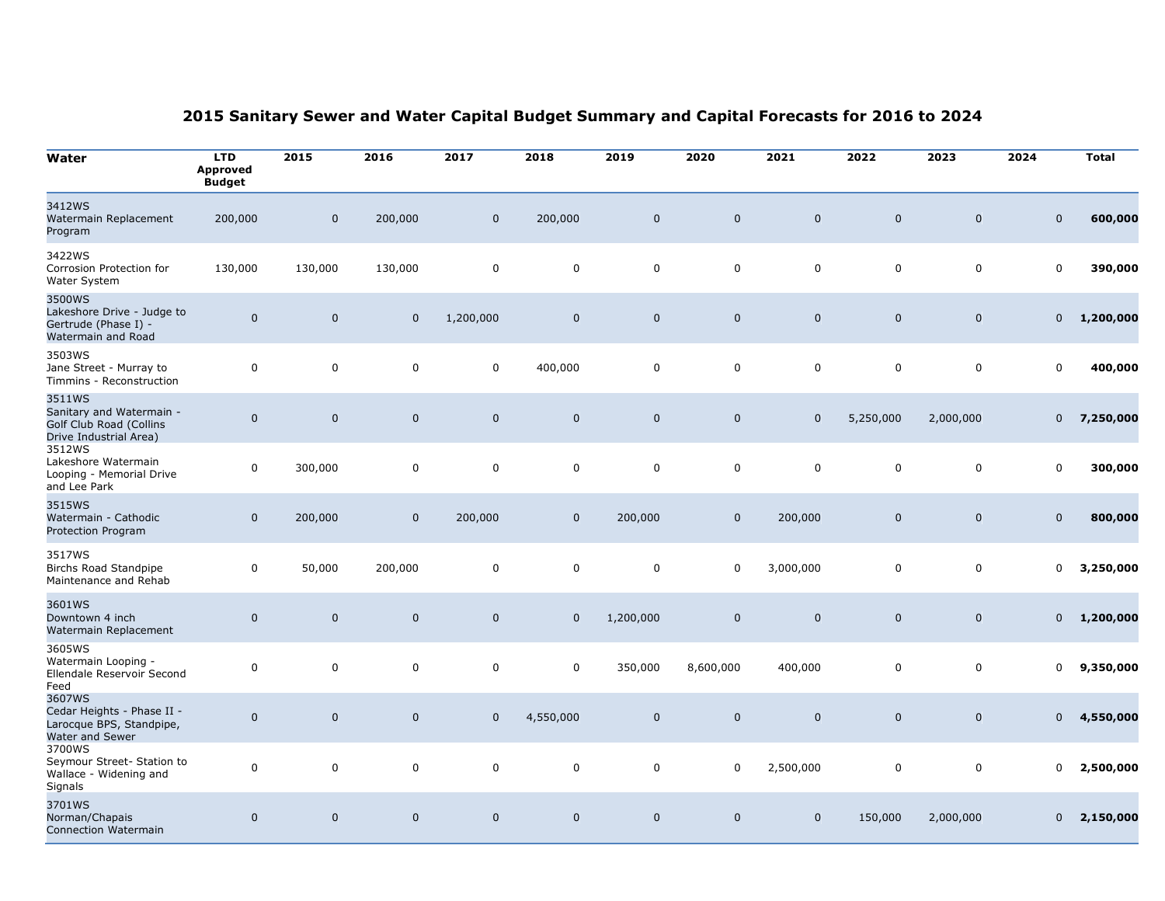| Water                                                                                   | <b>LTD</b><br><b>Approved</b><br><b>Budget</b> | 2015         | 2016         | 2017         | 2018         | 2019         | 2020         | 2021         | 2022        | 2023         | 2024           | <b>Total</b> |
|-----------------------------------------------------------------------------------------|------------------------------------------------|--------------|--------------|--------------|--------------|--------------|--------------|--------------|-------------|--------------|----------------|--------------|
| 3412WS<br>Watermain Replacement<br>Program                                              | 200,000                                        | $\mathbf 0$  | 200,000      | $\mathbf 0$  | 200,000      | $\mathbf{0}$ | $\mathbf 0$  | $\mathbf 0$  | $\mathbf 0$ | $\mathbf{0}$ | $\mathbf 0$    | 600,000      |
| 3422WS<br>Corrosion Protection for<br>Water System                                      | 130,000                                        | 130,000      | 130,000      | 0            | 0            | 0            | 0            | $\mathbf 0$  | 0           | 0            | 0              | 390,000      |
| 3500WS<br>Lakeshore Drive - Judge to<br>Gertrude (Phase I) -<br>Watermain and Road      | $\mathbf 0$                                    | $\mathbf{0}$ | $\mathbf{0}$ | 1,200,000    | $\mathbf 0$  | $\mathbf{0}$ | $\mathbf 0$  | $\mathbf{0}$ | $\mathbf 0$ | $\mathbf{0}$ | $\mathbf{0}$   | 1,200,000    |
| 3503WS<br>Jane Street - Murray to<br>Timmins - Reconstruction                           | $\mathbf 0$                                    | $\mathbf 0$  | $\mathbf 0$  | $\mathbf 0$  | 400,000      | $\mathbf 0$  | 0            | $\mathbf 0$  | 0           | $\mathbf 0$  | 0              | 400,000      |
| 3511WS<br>Sanitary and Watermain -<br>Golf Club Road (Collins<br>Drive Industrial Area) | $\mathbf 0$                                    | $\mathbf{0}$ | $\mathbf 0$  | $\mathbf 0$  | $\mathbf 0$  | $\mathbf 0$  | $\mathbf 0$  | $\mathbf{0}$ | 5,250,000   | 2,000,000    | $\mathbf{0}$   | 7,250,000    |
| 3512WS<br>Lakeshore Watermain<br>Looping - Memorial Drive<br>and Lee Park               | $\mathbf 0$                                    | 300,000      | $\mathbf 0$  | $\mathbf 0$  | $\mathbf 0$  | $\mathbf 0$  | $\mathbf 0$  | $\mathbf 0$  | $\pmb{0}$   | $\mathbf 0$  | 0              | 300,000      |
| 3515WS<br>Watermain - Cathodic<br>Protection Program                                    | $\mathbf 0$                                    | 200,000      | $\mathbf 0$  | 200,000      | $\mathbf 0$  | 200,000      | $\mathbf 0$  | 200,000      | $\mathbf 0$ | $\mathbf{0}$ | $\mathbf{0}$   | 800,000      |
| 3517WS<br>Birchs Road Standpipe<br>Maintenance and Rehab                                | $\mathbf 0$                                    | 50,000       | 200,000      | 0            | 0            | 0            | 0            | 3,000,000    | 0           | $\mathbf 0$  | 0              | 3,250,000    |
| 3601WS<br>Downtown 4 inch<br>Watermain Replacement                                      | $\mathbf 0$                                    | $\mathbf 0$  | $\mathbf 0$  | $\mathbf 0$  | $\mathbf 0$  | 1,200,000    | $\mathbf 0$  | $\mathbf 0$  | $\mathbf 0$ | $\mathbf 0$  | $\mathbf 0$    | 1,200,000    |
| 3605WS<br>Watermain Looping -<br>Ellendale Reservoir Second<br>Feed                     | $\mathbf 0$                                    | $\mathbf 0$  | $\mathbf 0$  | $\mathbf 0$  | 0            | 350,000      | 8,600,000    | 400,000      | 0           | $\mathbf 0$  | 0              | 9,350,000    |
| 3607WS<br>Cedar Heights - Phase II -<br>Larocque BPS, Standpipe,<br>Water and Sewer     | $\mathbf 0$                                    | $\mathbf{0}$ | $\mathbf 0$  | $\mathbf{0}$ | 4,550,000    | $\mathbf 0$  | $\mathbf 0$  | $\mathbf 0$  | $\mathbf 0$ | $\mathbf{0}$ | $\mathbf{0}$   | 4,550,000    |
| 3700WS<br>Seymour Street- Station to<br>Wallace - Widening and<br>Signals               | $\mathbf 0$                                    | $\mathbf 0$  | 0            | 0            | 0            | 0            | 0            | 2,500,000    | 0           | 0            | 0              | 2,500,000    |
| 3701WS<br>Norman/Chapais<br>Connection Watermain                                        | $\mathbf{0}$                                   | $\Omega$     | $\mathbf{0}$ | $\Omega$     | $\mathbf{0}$ | $\Omega$     | $\mathbf{0}$ | $\mathbf{0}$ | 150,000     | 2,000,000    | $\overline{0}$ | 2,150,000    |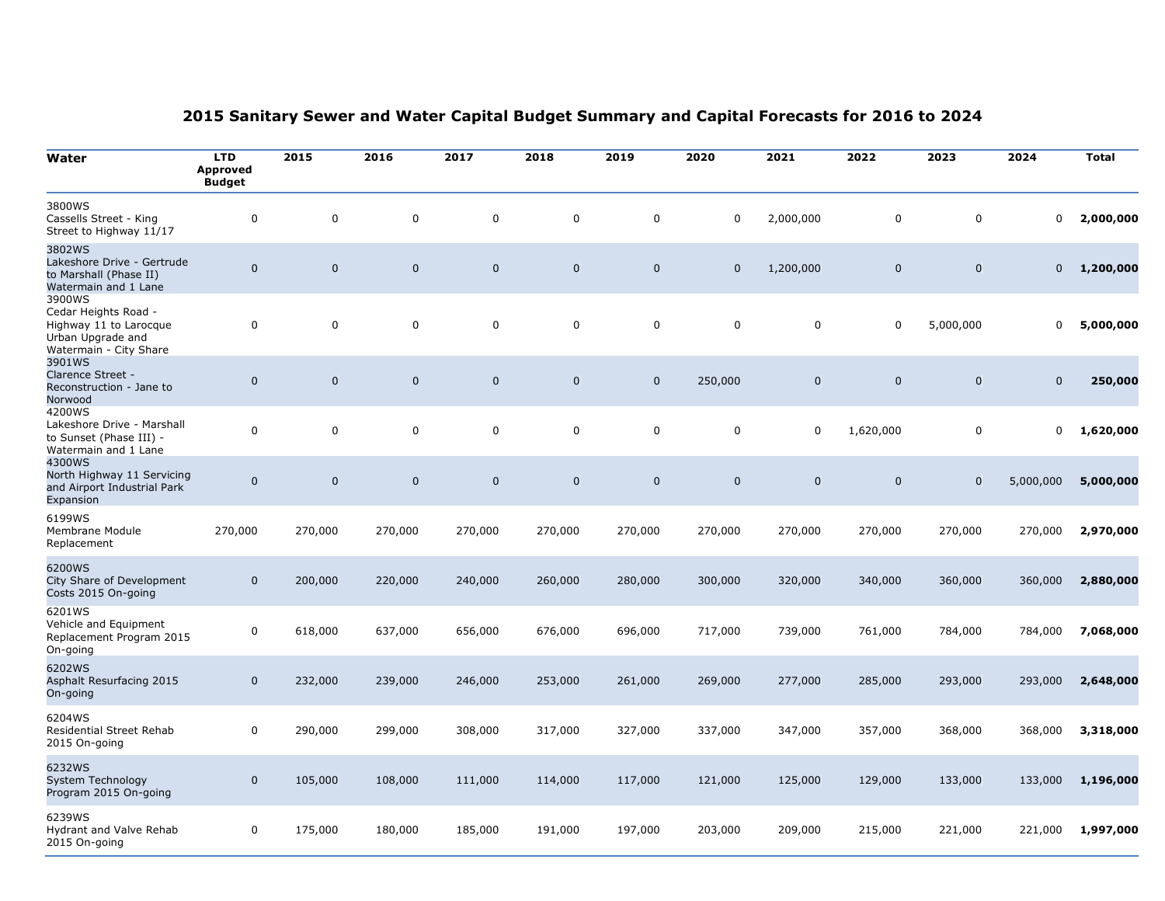| Water                                                                                                   | <b>LTD</b><br><b>Approved</b><br><b>Budget</b> | 2015        | 2016        | 2017        | 2018        | 2019        | 2020        | 2021        | 2022        | 2023        | 2024        | <b>Total</b> |
|---------------------------------------------------------------------------------------------------------|------------------------------------------------|-------------|-------------|-------------|-------------|-------------|-------------|-------------|-------------|-------------|-------------|--------------|
| 3800WS<br>Cassells Street - King<br>Street to Highway 11/17                                             | 0                                              | $\Omega$    | $\mathbf 0$ | $\mathbf 0$ | $\mathbf 0$ | $\mathbf 0$ | $\mathbf 0$ | 2,000,000   | $\mathbf 0$ | $\mathbf 0$ | $\pmb{0}$   | 2,000,000    |
| 3802WS<br>Lakeshore Drive - Gertrude<br>to Marshall (Phase II)<br>Watermain and 1 Lane                  | $\overline{0}$                                 | $\mathbf 0$ | $\pmb{0}$   | $\bf 0$     | $\pmb{0}$   | $\bf 0$     | $\mathbf 0$ | 1,200,000   | $\mathbf 0$ | $\mathbf 0$ | $\mathbf 0$ | 1,200,000    |
| 3900WS<br>Cedar Heights Road -<br>Highway 11 to Larocque<br>Urban Upgrade and<br>Watermain - City Share | 0                                              | $\mathbf 0$ | $\mathbf 0$ | $\mathbf 0$ | $\pmb{0}$   | $\mathbf 0$ | $\mathsf 0$ | $\mathbf 0$ | 0           | 5,000,000   | $\mathbf 0$ | 5,000,000    |
| 3901WS<br>Clarence Street -<br>Reconstruction - Jane to<br>Norwood                                      | $\mathbf 0$                                    | $\mathbf 0$ | $\mathbf 0$ | $\pmb{0}$   | $\mathbf 0$ | $\pmb{0}$   | 250,000     | $\mathbf 0$ | $\pmb{0}$   | $\mathbf 0$ | $\mathbf 0$ | 250,000      |
| 4200WS<br>Lakeshore Drive - Marshall<br>to Sunset (Phase III) -<br>Watermain and 1 Lane                 | 0                                              | $\pmb{0}$   | $\mathbf 0$ | $\pmb{0}$   | $\mathsf 0$ | $\pmb{0}$   | $\pmb{0}$   | $\mathbf 0$ | 1,620,000   | $\pmb{0}$   | 0           | 1,620,000    |
| 4300WS<br>North Highway 11 Servicing<br>and Airport Industrial Park<br>Expansion                        | $\pmb{0}$                                      | $\mathbf 0$ | $\pmb{0}$   | $\mathbf 0$ | $\mathbf 0$ | $\mathbf 0$ | $\mathbf 0$ | $\mathbf 0$ | $\pmb{0}$   | $\mathbf 0$ | 5,000,000   | 5,000,000    |
| 6199WS<br>Membrane Module<br>Replacement                                                                | 270,000                                        | 270,000     | 270,000     | 270,000     | 270,000     | 270,000     | 270,000     | 270,000     | 270,000     | 270,000     | 270,000     | 2,970,000    |
| 6200WS<br>City Share of Development<br>Costs 2015 On-going                                              | $\mathbf 0$                                    | 200,000     | 220,000     | 240,000     | 260,000     | 280,000     | 300,000     | 320,000     | 340,000     | 360,000     | 360,000     | 2,880,000    |
| 6201WS<br>Vehicle and Equipment<br>Replacement Program 2015<br>On-going                                 | 0                                              | 618,000     | 637,000     | 656,000     | 676,000     | 696,000     | 717,000     | 739,000     | 761,000     | 784,000     | 784,000     | 7,068,000    |
| 6202WS<br>Asphalt Resurfacing 2015<br>On-going                                                          | $\mathbf 0$                                    | 232,000     | 239,000     | 246,000     | 253,000     | 261,000     | 269,000     | 277,000     | 285,000     | 293,000     | 293,000     | 2,648,000    |
| 6204WS<br>Residential Street Rehab<br>2015 On-going                                                     | 0                                              | 290,000     | 299,000     | 308,000     | 317,000     | 327,000     | 337,000     | 347,000     | 357,000     | 368,000     | 368,000     | 3,318,000    |
| 6232WS<br>System Technology<br>Program 2015 On-going                                                    | $\pmb{0}$                                      | 105,000     | 108,000     | 111,000     | 114,000     | 117,000     | 121,000     | 125,000     | 129,000     | 133,000     | 133,000     | 1,196,000    |
| 6239WS<br>Hydrant and Valve Rehab<br>2015 On-going                                                      | 0                                              | 175,000     | 180,000     | 185,000     | 191,000     | 197,000     | 203,000     | 209,000     | 215,000     | 221,000     | 221,000     | 1,997,000    |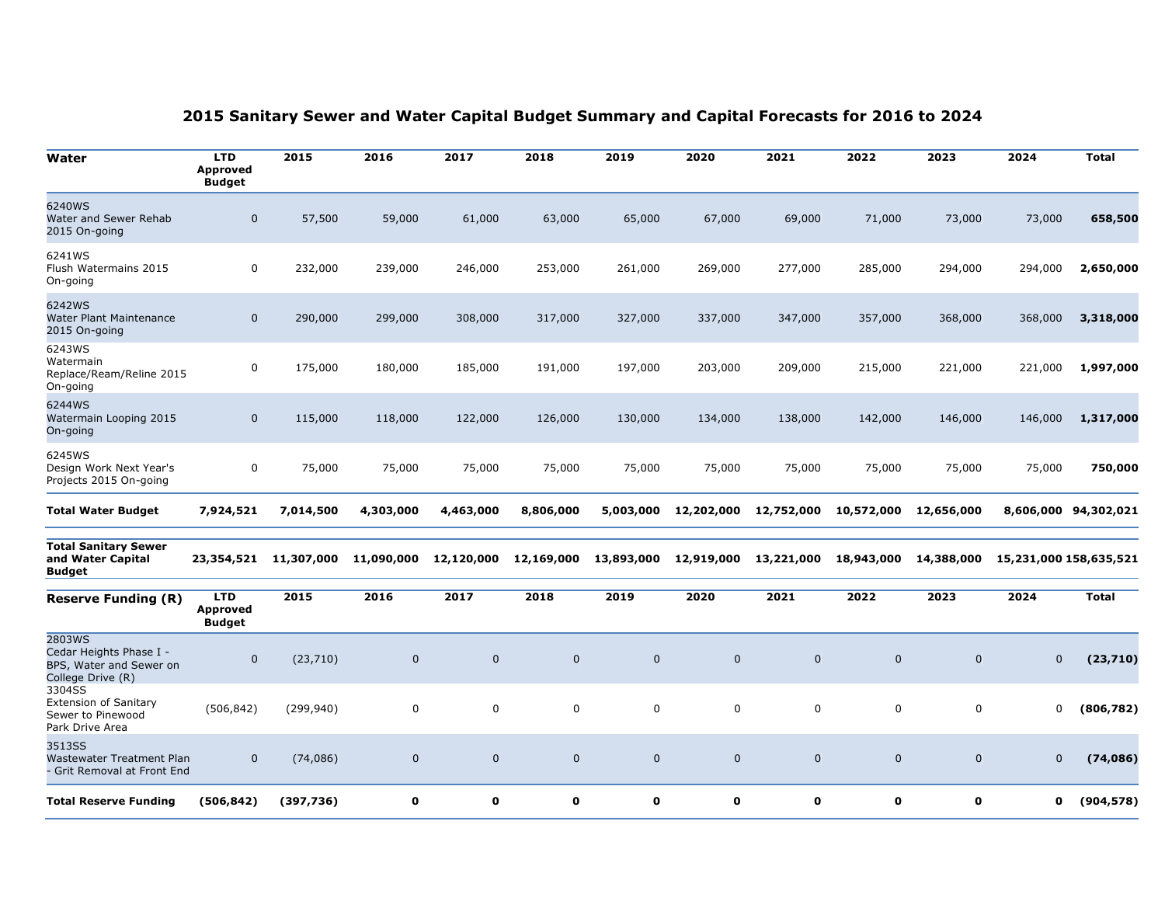| Water                                                                             | <b>LTD</b><br><b>Approved</b><br><b>Budget</b> | 2015       | 2016        | 2017         | 2018        | 2019        | 2020         | 2021        | 2022        | 2023           | 2024                   | <b>Total</b> |
|-----------------------------------------------------------------------------------|------------------------------------------------|------------|-------------|--------------|-------------|-------------|--------------|-------------|-------------|----------------|------------------------|--------------|
| 6240WS<br>Water and Sewer Rehab<br>2015 On-going                                  | $\mathbf 0$                                    | 57,500     | 59,000      | 61,000       | 63,000      | 65,000      | 67,000       | 69,000      | 71,000      | 73,000         | 73,000                 | 658,500      |
| 6241WS<br>Flush Watermains 2015<br>On-going                                       | 0                                              | 232,000    | 239,000     | 246,000      | 253,000     | 261,000     | 269,000      | 277,000     | 285,000     | 294,000        | 294,000                | 2,650,000    |
| 6242WS<br>Water Plant Maintenance<br>2015 On-going                                | $\mathbf 0$                                    | 290,000    | 299,000     | 308,000      | 317,000     | 327,000     | 337,000      | 347,000     | 357,000     | 368,000        | 368,000                | 3,318,000    |
| 6243WS<br>Watermain<br>Replace/Ream/Reline 2015<br>On-going                       | 0                                              | 175,000    | 180,000     | 185,000      | 191,000     | 197,000     | 203,000      | 209,000     | 215,000     | 221,000        | 221,000                | 1,997,000    |
| 6244WS<br>Watermain Looping 2015<br>On-going                                      | 0                                              | 115,000    | 118,000     | 122,000      | 126,000     | 130,000     | 134,000      | 138,000     | 142,000     | 146,000        | 146,000                | 1,317,000    |
| 6245WS<br>Design Work Next Year's<br>Projects 2015 On-going                       | 0                                              | 75,000     | 75,000      | 75,000       | 75,000      | 75,000      | 75,000       | 75,000      | 75,000      | 75,000         | 75,000                 | 750,000      |
| <b>Total Water Budget</b>                                                         | 7,924,521                                      | 7,014,500  | 4,303,000   | 4,463,000    | 8,806,000   | 5,003,000   | 12,202,000   | 12,752,000  | 10,572,000  | 12,656,000     | 8,606,000              | 94,302,021   |
| <b>Total Sanitary Sewer</b><br>and Water Capital<br><b>Budget</b>                 | 23,354,521                                     | 11,307,000 | 11,090,000  | 12,120,000   | 12,169,000  | 13,893,000  | 12,919,000   | 13,221,000  | 18,943,000  | 14,388,000     | 15,231,000 158,635,521 |              |
| <b>Reserve Funding (R)</b>                                                        | <b>LTD</b><br><b>Approved</b><br><b>Budget</b> | 2015       | 2016        | 2017         | 2018        | 2019        | 2020         | 2021        | 2022        | 2023           | 2024                   | <b>Total</b> |
| 2803WS<br>Cedar Heights Phase I -<br>BPS, Water and Sewer on<br>College Drive (R) | $\mathbf 0$                                    | (23, 710)  | $\mathbf 0$ | $\mathbf 0$  | $\mathbf 0$ | $\mathbf 0$ | $\mathbf 0$  | $\mathbf 0$ | $\bf{0}$    | $\overline{0}$ | $\mathbf 0$            | (23,710)     |
| 3304SS<br><b>Extension of Sanitary</b><br>Sewer to Pinewood<br>Park Drive Area    | (506, 842)                                     | (299, 940) | 0           | $\mathbf 0$  | $\mathbf 0$ | $\mathbf 0$ | $\mathbf 0$  | $\mathbf 0$ | $\mathbf 0$ | $\mathbf 0$    | 0                      | (806, 782)   |
| 3513SS<br><b>Wastewater Treatment Plan</b><br>- Grit Removal at Front End         | $\mathbf 0$                                    | (74, 086)  | $\mathbf 0$ | $\mathbf 0$  | $\mathbf 0$ | $\mathbf 0$ | $\mathbf 0$  | $\mathbf 0$ | $\mathbf 0$ | $\mathbf 0$    | $\mathbf 0$            | (74, 086)    |
| <b>Total Reserve Funding</b>                                                      | (506, 842)                                     | (397, 736) | $\mathbf 0$ | $\mathbf{o}$ | $\mathbf 0$ | $\mathbf 0$ | $\mathbf{o}$ | $\mathbf 0$ | $\mathbf o$ | $\mathbf 0$    | 0                      | (904, 578)   |